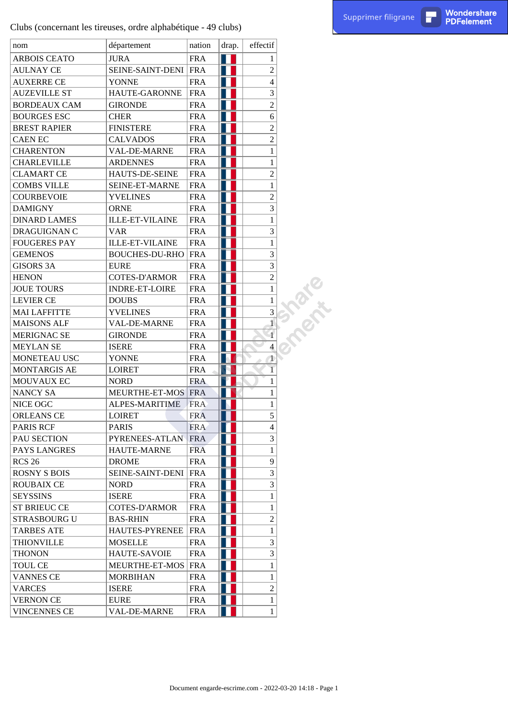Wondershare<br>PDFelement

|                     | Clubs (concernant les tireuses, ordre alphabétique - 49 clubs) |            |       |                                |                                                          | Supprimer filigrane | П | Wondershare<br><b>PDFelement</b> |
|---------------------|----------------------------------------------------------------|------------|-------|--------------------------------|----------------------------------------------------------|---------------------|---|----------------------------------|
| nom                 | département                                                    | nation     | drap. | effectif                       |                                                          |                     |   |                                  |
| <b>ARBOIS CEATO</b> | <b>JURA</b>                                                    | <b>FRA</b> | W     | 1                              |                                                          |                     |   |                                  |
| <b>AULNAY CE</b>    | SEINE-SAINT-DENI                                               | FRA        | ш     | $\boldsymbol{2}$               |                                                          |                     |   |                                  |
| <b>AUXERRE CE</b>   | <b>YONNE</b>                                                   | <b>FRA</b> |       | 4                              |                                                          |                     |   |                                  |
| <b>AUZEVILLE ST</b> | HAUTE-GARONNE                                                  | <b>FRA</b> |       | 3                              |                                                          |                     |   |                                  |
| <b>BORDEAUX CAM</b> | <b>GIRONDE</b>                                                 | <b>FRA</b> |       | $\overline{2}$                 |                                                          |                     |   |                                  |
| <b>BOURGES ESC</b>  | <b>CHER</b>                                                    | <b>FRA</b> | H     | $\sqrt{6}$                     |                                                          |                     |   |                                  |
| <b>BREST RAPIER</b> | <b>FINISTERE</b>                                               | <b>FRA</b> |       | $\sqrt{2}$                     |                                                          |                     |   |                                  |
| CAEN EC             | <b>CALVADOS</b>                                                | <b>FRA</b> |       | $\sqrt{2}$                     |                                                          |                     |   |                                  |
| <b>CHARENTON</b>    | VAL-DE-MARNE                                                   | <b>FRA</b> |       | $\mathbf{1}$                   |                                                          |                     |   |                                  |
| <b>CHARLEVILLE</b>  | <b>ARDENNES</b>                                                | <b>FRA</b> |       | $\mathbf{1}$                   |                                                          |                     |   |                                  |
| <b>CLAMART CE</b>   | HAUTS-DE-SEINE                                                 | <b>FRA</b> |       | $\sqrt{2}$                     |                                                          |                     |   |                                  |
| <b>COMBS VILLE</b>  | SEINE-ET-MARNE                                                 | <b>FRA</b> |       | $\mathbf{1}$                   |                                                          |                     |   |                                  |
| <b>COURBEVOIE</b>   | <b>YVELINES</b>                                                | <b>FRA</b> |       | $\sqrt{2}$                     |                                                          |                     |   |                                  |
| <b>DAMIGNY</b>      | <b>ORNE</b>                                                    | <b>FRA</b> | H     | 3                              |                                                          |                     |   |                                  |
| <b>DINARD LAMES</b> | <b>ILLE-ET-VILAINE</b>                                         | <b>FRA</b> |       | $\mathbf{1}$                   |                                                          |                     |   |                                  |
| DRAGUIGNAN C        | <b>VAR</b>                                                     | <b>FRA</b> |       | 3                              |                                                          |                     |   |                                  |
| <b>FOUGERES PAY</b> | <b>ILLE-ET-VILAINE</b>                                         | <b>FRA</b> |       | $\mathbf{1}$                   |                                                          |                     |   |                                  |
| <b>GEMENOS</b>      | <b>BOUCHES-DU-RHO</b>                                          | <b>FRA</b> |       | 3                              |                                                          |                     |   |                                  |
| <b>GISORS 3A</b>    | <b>EURE</b>                                                    | <b>FRA</b> |       | 3                              |                                                          |                     |   |                                  |
| <b>HENON</b>        | <b>COTES-D'ARMOR</b>                                           | <b>FRA</b> |       | $\sqrt{2}$                     |                                                          |                     |   |                                  |
| <b>JOUE TOURS</b>   | <b>INDRE-ET-LOIRE</b>                                          | <b>FRA</b> |       | $\,1$                          |                                                          |                     |   |                                  |
| <b>LEVIER CE</b>    | <b>DOUBS</b>                                                   | <b>FRA</b> | H     | $\mathbf{1}$                   | <b>RATIO</b>                                             |                     |   |                                  |
| <b>MAI LAFFITTE</b> | <b>YVELINES</b>                                                | <b>FRA</b> |       | $\mathfrak{Z}$                 |                                                          |                     |   |                                  |
| <b>MAISONS ALF</b>  | VAL-DE-MARNE                                                   | <b>FRA</b> |       |                                |                                                          |                     |   |                                  |
| MERIGNAC SE         | <b>GIRONDE</b>                                                 | <b>FRA</b> |       |                                |                                                          |                     |   |                                  |
| <b>MEYLAN SE</b>    | <b>ISERE</b>                                                   | <b>FRA</b> |       | 4                              |                                                          |                     |   |                                  |
| MONETEAU USC        | <b>YONNE</b>                                                   | <b>FRA</b> |       | 1                              |                                                          |                     |   |                                  |
| MONTARGIS AE        | <b>LOIRET</b>                                                  | <b>FRA</b> |       |                                |                                                          |                     |   |                                  |
| MOUVAUX EC          | <b>NORD</b>                                                    | FRA        |       | 1                              |                                                          |                     |   |                                  |
| NANCY SA            | MEURTHE-ET-MOS FRA                                             |            | IN.   | $\mathbf{1}$                   |                                                          |                     |   |                                  |
| NICE OGC            | ALPES-MARITIME                                                 | <b>FRA</b> |       | $\mathbf{1}$                   |                                                          |                     |   |                                  |
| <b>ORLEANS CE</b>   | <b>LOIRET</b>                                                  | <b>FRA</b> |       | $\mathfrak{S}$                 |                                                          |                     |   |                                  |
| <b>PARIS RCF</b>    | <b>PARIS</b>                                                   | <b>FRA</b> |       | $\overline{\mathcal{L}}$       |                                                          |                     |   |                                  |
| PAU SECTION         | PYRENEES-ATLAN                                                 | <b>FRA</b> | Ш     | 3                              |                                                          |                     |   |                                  |
| PAYS LANGRES        | <b>HAUTE-MARNE</b>                                             | <b>FRA</b> |       | $\mathbf{1}$                   |                                                          |                     |   |                                  |
| <b>RCS 26</b>       | <b>DROME</b>                                                   | <b>FRA</b> |       | 9                              |                                                          |                     |   |                                  |
| <b>ROSNY S BOIS</b> | SEINE-SAINT-DENI                                               | FRA        |       | 3                              |                                                          |                     |   |                                  |
| <b>ROUBAIX CE</b>   |                                                                |            |       | 3                              |                                                          |                     |   |                                  |
|                     | <b>NORD</b>                                                    | <b>FRA</b> |       |                                |                                                          |                     |   |                                  |
| <b>SEYSSINS</b>     | <b>ISERE</b>                                                   | <b>FRA</b> |       | $\mathbf{1}$                   |                                                          |                     |   |                                  |
| <b>ST BRIEUC CE</b> | <b>COTES-D'ARMOR</b>                                           | <b>FRA</b> |       | $\mathbf{1}$<br>$\overline{2}$ |                                                          |                     |   |                                  |
| <b>STRASBOURG U</b> | <b>BAS-RHIN</b>                                                | <b>FRA</b> |       |                                |                                                          |                     |   |                                  |
| <b>TARBES ATE</b>   | HAUTES-PYRENEE                                                 | <b>FRA</b> |       | $\mathbf{1}$                   |                                                          |                     |   |                                  |
| <b>THIONVILLE</b>   | <b>MOSELLE</b>                                                 | <b>FRA</b> |       | 3                              |                                                          |                     |   |                                  |
| <b>THONON</b>       | <b>HAUTE-SAVOIE</b>                                            | <b>FRA</b> |       | 3                              |                                                          |                     |   |                                  |
| <b>TOUL CE</b>      | MEURTHE-ET-MOS                                                 | FRA        |       | $\mathbf{1}$                   |                                                          |                     |   |                                  |
| <b>VANNES CE</b>    | <b>MORBIHAN</b>                                                | <b>FRA</b> |       | 1                              |                                                          |                     |   |                                  |
| <b>VARCES</b>       | <b>ISERE</b>                                                   | <b>FRA</b> |       | $\sqrt{2}$                     |                                                          |                     |   |                                  |
| <b>VERNON CE</b>    | <b>EURE</b>                                                    | FRA        |       | $\mathbf{1}$                   |                                                          |                     |   |                                  |
| <b>VINCENNES CE</b> | VAL-DE-MARNE                                                   | <b>FRA</b> |       | $\mathbf{1}$                   |                                                          |                     |   |                                  |
|                     |                                                                |            |       |                                |                                                          |                     |   |                                  |
|                     |                                                                |            |       |                                | Document engarde-escrime.com - 2022-03-20 14:18 - Page 1 |                     |   |                                  |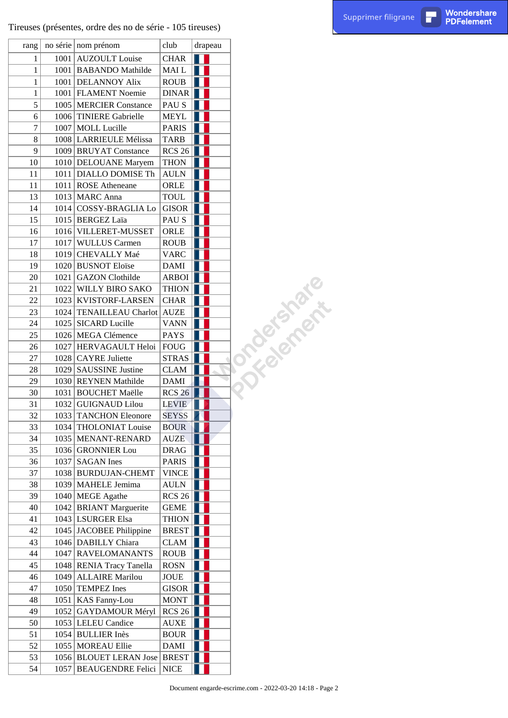Tireuses (présentes, ordre des no de série - 105 tireuses)

| rang           |      | no série nom prénom          | club                         | drapeau |                  |
|----------------|------|------------------------------|------------------------------|---------|------------------|
| $\mathbf{1}$   |      | 1001 AUZOULT Louise          | <b>CHAR</b>                  |         |                  |
| $\mathbf{1}$   |      | 1001 BABANDO Mathilde        | MAI L                        |         |                  |
| 1              |      | 1001   DELANNOY Alix         | <b>ROUB</b>                  |         |                  |
| $\mathbf{1}$   |      | 1001   FLAMENT Noemie        | <b>DINAR</b>                 |         |                  |
| 5              |      | 1005   MERCIER Constance     | PAU S                        |         |                  |
| 6              |      | 1006 TINIERE Gabrielle       | <b>MEYL</b>                  |         |                  |
| $\overline{7}$ |      | 1007   MOLL Lucille          | <b>PARIS</b>                 |         |                  |
| 8              |      | 1008 LARRIEULE Mélissa       | <b>TARB</b>                  |         |                  |
| 9              |      | 1009 BRUYAT Constance        | <b>RCS 26</b>                |         |                  |
| 10             |      | 1010 DELOUANE Maryem         | <b>THON</b>                  |         |                  |
| 11             |      | 1011   DIALLO DOMISE Th      | <b>AULN</b>                  |         |                  |
| 11             |      | 1011 ROSE Atheneane          | ORLE                         |         |                  |
| 13             |      | 1013 MARC Anna               | <b>TOUL</b>                  |         |                  |
| 14             |      | 1014 COSSY-BRAGLIA Lo        | <b>GISOR</b>                 |         |                  |
| 15             |      | 1015   BERGEZ Laïa           | PAU S                        |         |                  |
| 16             |      | 1016 VILLERET-MUSSET         | ORLE                         |         |                  |
| 17             |      | 1017 WULLUS Carmen           | <b>ROUB</b>                  |         |                  |
| 18             | 1019 | CHEVALLY Maé                 | <b>VARC</b>                  |         |                  |
| 19             |      | 1020 BUSNOT Eloïse           | <b>DAMI</b>                  |         |                  |
| 20             |      | 1021 GAZON Clothilde         | <b>ARBOI</b>                 |         |                  |
| 21             |      | 1022 WILLY BIRO SAKO         | <b>THION</b>                 |         | <b>Tralement</b> |
| 22             |      | 1023   KVISTORF-LARSEN       | <b>CHAR</b>                  |         |                  |
| 23             |      | 1024   TENAILLEAU Charlot    | <b>AUZE</b>                  |         |                  |
| 24             |      | 1025 SICARD Lucille          | <b>VANN</b>                  |         |                  |
| 25             |      | 1026   MEGA Clémence         | <b>PAYS</b>                  |         |                  |
| 26             |      | 1027   HERVAGAULT Heloi      | <b>FOUG</b>                  |         |                  |
| 27             |      | 1028 CAYRE Juliette          | <b>STRAS</b>                 |         |                  |
| 28             |      | 1029 SAUSSINE Justine        | <b>CLAM</b>                  |         |                  |
| 29             |      | 1030 REYNEN Mathilde         | <b>DAMI</b>                  |         |                  |
| 30             |      | 1031 BOUCHET Maëlle          |                              |         |                  |
| 31             |      | 1032 GUIGNAUD Lilou          | <b>RCS 26</b>                |         |                  |
| 32             |      | 1033 TANCHON Eleonore        | <b>LEVIE</b><br><b>SEYSS</b> |         |                  |
| 33             |      | 1034 THOLONIAT Louise        |                              |         |                  |
|                |      |                              | <b>BOUR</b><br><b>AUZE</b>   |         |                  |
| 34             |      | 1035   MENANT-RENARD         |                              |         |                  |
| 35             |      | 1036 GRONNIER Lou            | <b>DRAG</b>                  |         |                  |
| 36             |      | $1037$ SAGAN Ines            | <b>PARIS</b>                 |         |                  |
| 37             |      | 1038   BURDUJAN-CHEMT        | <b>VINCE</b>                 |         |                  |
| 38             |      | 1039   MAHELE Jemima         | AULN                         |         |                  |
| 39             |      | 1040 MEGE Agathe             | <b>RCS 26</b>                |         |                  |
| 40             |      | 1042 BRIANT Marguerite       | <b>GEME</b>                  |         |                  |
| 41             |      | 1043 LSURGER Elsa            | THION                        |         |                  |
| 42             |      | 1045 JACOBEE Philippine      | <b>BREST</b>                 |         |                  |
| 43             |      | 1046 DABILLY Chiara          | CLAM                         |         |                  |
| 44             |      | 1047 RAVELOMANANTS           | <b>ROUB</b>                  |         |                  |
| 45             |      | 1048 RENIA Tracy Tanella     | <b>ROSN</b>                  |         |                  |
| 46             |      | 1049 ALLAIRE Marilou         | JOUE                         |         |                  |
| 47             |      | 1050 TEMPEZ Ines             | GISOR                        |         |                  |
| 48             |      | 1051   KAS Fanny-Lou         | <b>MONT</b>                  |         |                  |
| 49             |      | 1052   GAYDAMOUR Méryl       | <b>RCS 26</b>                |         |                  |
| 50             |      | 1053   LELEU Candice         | AUXE                         |         |                  |
| 51             |      | 1054 BULLIER Inès            | <b>BOUR</b>                  |         |                  |
| 52             |      | 1055   MOREAU Ellie          | <b>DAMI</b>                  |         |                  |
| 53             |      | 1056 BLOUET LERAN Jose BREST |                              |         |                  |
| 54             | 1057 | <b>BEAUGENDRE Felici</b>     | <b>NICE</b>                  |         |                  |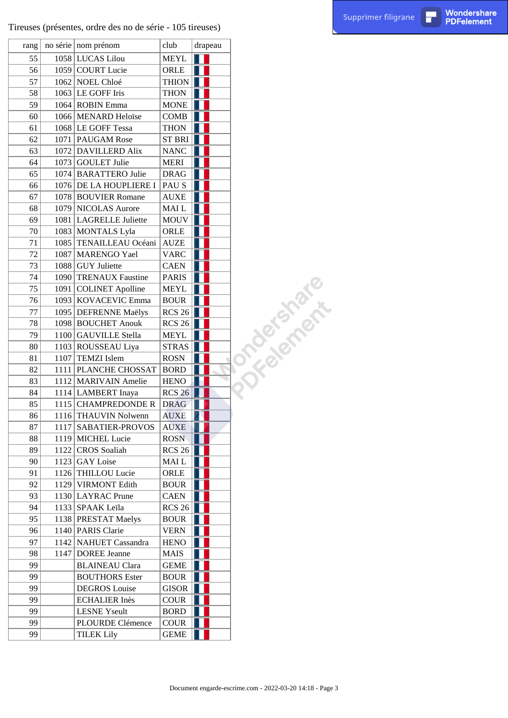$\Gamma$ 

| rang     |      | no série nom prénom                  | club                             |  | drapeau |             |
|----------|------|--------------------------------------|----------------------------------|--|---------|-------------|
| 55       |      | 1058 LUCAS Lilou                     | <b>MEYL</b>                      |  |         |             |
| 56       |      | 1059 COURT Lucie                     | ORLE                             |  |         |             |
| 57       |      | 1062 NOEL Chloé                      | <b>THION</b>                     |  |         |             |
| 58       |      | 1063 LE GOFF Iris                    | <b>THON</b>                      |  |         |             |
| 59       |      | 1064 ROBIN Emma                      | <b>MONE</b>                      |  |         |             |
| 60       |      | 1066 MENARD Heloïse                  | COMB                             |  |         |             |
| 61       |      | 1068 LE GOFF Tessa                   | <b>THON</b>                      |  |         |             |
| 62       |      | 1071   PAUGAM Rose                   | ST BRI                           |  |         |             |
| 63       |      | 1072 DAVILLERD Alix                  | <b>NANC</b>                      |  |         |             |
| 64       |      | 1073 GOULET Julie                    | <b>MERI</b>                      |  |         |             |
| 65       |      | 1074 BARATTERO Julie                 | <b>DRAG</b>                      |  |         |             |
| 66       |      | 1076 DE LA HOUPLIERE I               | PAU S                            |  |         |             |
| 67       |      | 1078 BOUVIER Romane                  | <b>AUXE</b>                      |  |         |             |
| 68       |      | 1079 NICOLAS Aurore                  | MAI L                            |  |         |             |
| 69       |      | 1081 LAGRELLE Juliette               | <b>MOUV</b>                      |  |         |             |
| 70       |      | 1083 MONTALS Lyla                    | ORLE                             |  |         |             |
| 71       |      | 1085 TENAILLEAU Océani               | <b>AUZE</b>                      |  |         |             |
| 72       | 1087 | MARENGO Yael                         | <b>VARC</b>                      |  |         |             |
| 73       |      | 1088 GUY Juliette                    | <b>CAEN</b>                      |  |         |             |
| 74       |      | 1090 TRENAUX Faustine                | <b>PARIS</b>                     |  |         | omacksmark. |
| 75       | 1091 | <b>COLINET Apolline</b>              | <b>MEYL</b>                      |  |         |             |
| 76       |      | 1093 KOVACEVIC Emma                  | <b>BOUR</b>                      |  |         |             |
| 77       |      | 1095 DEFRENNE Maëlys                 | <b>RCS 26</b>                    |  |         |             |
| 78       |      | 1098 BOUCHET Anouk                   | <b>RCS 26</b>                    |  |         |             |
| 79       |      | 1100 GAUVILLE Stella                 | <b>MEYL</b>                      |  |         |             |
| 80       |      | 1103 ROUSSEAU Liya                   | <b>STRAS</b>                     |  |         |             |
| 81       |      | 1107 TEMZI Islem                     | <b>ROSN</b>                      |  |         |             |
| 82       |      | 1111   PLANCHE CHOSSAT               | <b>BORD</b>                      |  |         |             |
| 83       |      | 1112 MARIVAIN Amelie                 | <b>HENO</b>                      |  |         |             |
| 84       |      | 1114 LAMBERT Inaya                   | <b>RCS 26</b>                    |  |         |             |
| 85       |      | 1115 CHAMPREDONDE R                  | <b>DRAG</b>                      |  |         |             |
| 86       |      | 1116 THAUVIN Nolwenn                 | <b>AUXE</b>                      |  |         |             |
|          |      |                                      |                                  |  |         |             |
| 87<br>88 | 1117 | SABATIER-PROVOS<br>1119 MICHEL Lucie | <b>AUXE</b><br>ROSN <sub>®</sub> |  |         |             |
| 89       |      | 1122 CROS Soaliah                    | <b>RCS 26</b>                    |  |         |             |
| 90       |      | 1123 GAY Loise                       |                                  |  |         |             |
|          |      |                                      | MAI L                            |  |         |             |
| 91       |      | 1126 THILLOU Lucie                   | ORLE                             |  |         |             |
| 92       |      | 1129 VIRMONT Edith                   | <b>BOUR</b>                      |  |         |             |
| 93       |      | 1130 LAYRAC Prune                    | <b>CAEN</b>                      |  |         |             |
| 94       |      | 1133 SPAAK Leïla                     | <b>RCS 26</b>                    |  |         |             |
| 95       |      | 1138   PRESTAT Maelys                | <b>BOUR</b>                      |  |         |             |
| 96       |      | 1140 PARIS Clarie                    | <b>VERN</b>                      |  |         |             |
| 97       |      | 1142 NAHUET Cassandra                | <b>HENO</b>                      |  |         |             |
| 98       |      | 1147 DOREE Jeanne                    | MAIS                             |  |         |             |
| 99       |      | <b>BLAINEAU Clara</b>                | <b>GEME</b>                      |  |         |             |
| 99       |      | <b>BOUTHORS</b> Ester                | <b>BOUR</b>                      |  |         |             |
| 99       |      | <b>DEGROS</b> Louise                 | <b>GISOR</b>                     |  |         |             |
| 99       |      | <b>ECHALIER Inès</b>                 | <b>COUR</b>                      |  |         |             |
| 99       |      | <b>LESNE Yseult</b>                  | <b>BORD</b>                      |  |         |             |
| 99       |      | PLOURDE Clémence                     | <b>COUR</b>                      |  |         |             |
| 99       |      | <b>TILEK Lily</b>                    | <b>GEME</b>                      |  |         |             |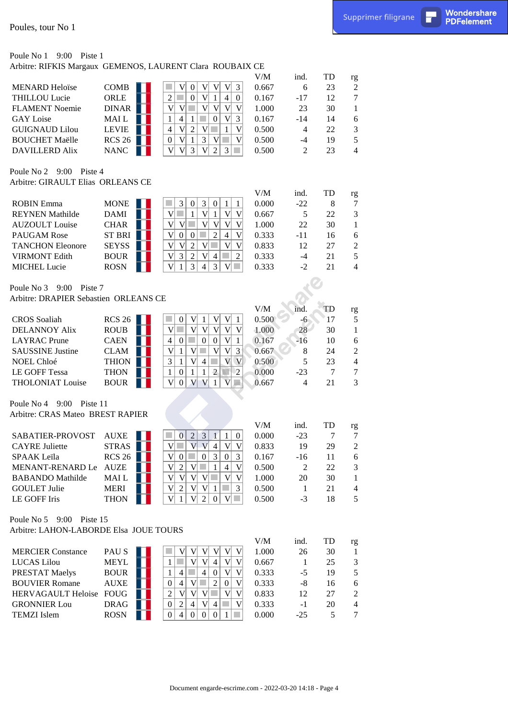Wondershare<br>PDFelement

# Poule No 1 9:00 Piste 1

| Poules, tour No 1                                                |                              |                                                                                                                                                                                      |                |                         |              | Supprimer filigrane  | П | Wondershare<br><b>PDFelement</b> |
|------------------------------------------------------------------|------------------------------|--------------------------------------------------------------------------------------------------------------------------------------------------------------------------------------|----------------|-------------------------|--------------|----------------------|---|----------------------------------|
|                                                                  |                              |                                                                                                                                                                                      |                |                         |              |                      |   |                                  |
| Poule No 1<br>$9:00$ Piste 1                                     |                              | Arbitre: RIFKIS Margaux GEMENOS, LAURENT Clara ROUBAIX CE                                                                                                                            | V/M            |                         | TD           |                      |   |                                  |
| <b>MENARD Heloïse</b>                                            | <b>COMB</b>                  | 3<br>V<br> V <br> V <br>$\boldsymbol{0}$<br>V                                                                                                                                        | 0.667          | ind.<br>6               | 23           | rg<br>$\overline{c}$ |   |                                  |
| <b>THILLOU Lucie</b>                                             | ORLE                         | $\overline{2}$<br>$\boldsymbol{0}$<br>٠<br>$\boldsymbol{0}$<br>V<br>$\overline{4}$<br>1                                                                                              | 0.167          | $-17$                   | 12           | $\boldsymbol{7}$     |   |                                  |
| <b>FLAMENT</b> Noemie                                            | DINAR                        | $\mathbf V$<br>V<br>V <sub>1</sub><br>V<br>V<br>V                                                                                                                                    | 1.000          | 23                      | 30           | $\mathbf{1}$         |   |                                  |
| <b>GAY</b> Loise                                                 | MAI L                        | $\mathbf{1}$<br>$\overline{4}$<br>$\overline{0}$<br>V<br>3<br>$\mathbf{1}$                                                                                                           | 0.167          | $-14$                   | 14           | 6                    |   |                                  |
| <b>GUIGNAUD Lilou</b>                                            | <b>LEVIE</b>                 | $\overline{4}$<br>$\mathbf V$<br> V <br>$\sqrt{2}$<br>$V$ $\Box$<br>1                                                                                                                | 0.500          | $\overline{4}$          | 22           | 3                    |   |                                  |
| <b>BOUCHET Maëlle</b><br><b>DAVILLERD Alix</b>                   | RCS26<br><b>NANC</b>         | 3 <br>V<br>$\mathbf V$<br> V <br>$\boldsymbol{0}$<br>1<br>h.<br>$\mathbf V$<br>3<br>V<br>$\sqrt{2}$<br>V<br>3                                                                        | 0.500<br>0.500 | $-4$<br>2               | 19<br>23     | 5<br>4               |   |                                  |
| Poule No 2 9:00 Piste 4                                          |                              |                                                                                                                                                                                      |                |                         |              |                      |   |                                  |
| Arbitre: GIRAULT Elias ORLEANS CE                                |                              |                                                                                                                                                                                      |                |                         |              |                      |   |                                  |
|                                                                  |                              |                                                                                                                                                                                      | V/M            | ind.                    | TD           | rg                   |   |                                  |
| <b>ROBIN Emma</b>                                                | <b>MONE</b>                  | 3 <br>$\mathfrak{Z}$<br>$\boldsymbol{0}$<br>$\boldsymbol{0}$<br>$\mathbf{1}$<br>$\mathbf{1}$                                                                                         | 0.000          | $-22$                   | 8            | $\tau$               |   |                                  |
| <b>REYNEN</b> Mathilde<br><b>AUZOULT</b> Louise                  | <b>DAMI</b>                  | $\overline{V}$<br>V<br>V<br> V <br>٠<br>1<br>1<br>$\ensuremath{\mathsf{V}}$<br>$\mathbf V$<br>$\mathbf{V}$<br>a s<br>V<br>V<br>V                                                     | 0.667          | 5<br>22                 | 22           | $\mathfrak{Z}$       |   |                                  |
| <b>PAUGAM Rose</b>                                               | <b>CHAR</b><br><b>ST BRI</b> | $\mathbf V$<br>$\mathbf V$<br>$\boldsymbol{0}$<br>$\boldsymbol{0}$<br>$\overline{c}$<br>4                                                                                            | 1.000<br>0.333 | $-11$                   | 30<br>16     | $\mathbf{1}$<br>6    |   |                                  |
| <b>TANCHON Eleonore</b>                                          | <b>SEYSS</b>                 | $\mathbf V$<br>V<br>$\sqrt{2}$<br>V<br>$\mathbf V$<br>V                                                                                                                              | 0.833          | 12                      | 27           | $\overline{2}$       |   |                                  |
| <b>VIRMONT Edith</b>                                             | <b>BOUR</b>                  | $\mathfrak{2}$<br>$\mathfrak{2}$<br>V<br>3<br>V<br>$\overline{4}$                                                                                                                    | 0.333          | $-4$                    | 21           | 5                    |   |                                  |
| <b>MICHEL Lucie</b>                                              | <b>ROSN</b>                  | 3<br>V<br>3<br>-1<br>$\overline{4}$<br>V                                                                                                                                             | 0.333          | $-2$                    | 21           | $\overline{4}$       |   |                                  |
|                                                                  |                              |                                                                                                                                                                                      |                |                         |              |                      |   |                                  |
| Poule No 3 9:00 Piste 7<br>Arbitre: DRAPIER Sebastien ORLEANS CE |                              |                                                                                                                                                                                      |                |                         |              |                      |   |                                  |
|                                                                  |                              |                                                                                                                                                                                      | $V\!/\!M$      | ind.                    | TD           | rg                   |   |                                  |
| <b>CROS</b> Soaliah                                              | RCS26                        | $\boldsymbol{0}$<br>V<br>$\mathbf{V}$<br> V <br>$\mathbf{1}$<br>$\mathbf{1}$                                                                                                         | 0.500          | $-6$                    | 17           | 5                    |   |                                  |
| <b>DELANNOY Alix</b>                                             | <b>ROUB</b>                  | V<br>V<br> V <br>V<br>V<br> V <br>a s                                                                                                                                                | 1.000          | 28                      | 30           | $\mathbf{1}$         |   |                                  |
| <b>LAYRAC</b> Prune                                              | <b>CAEN</b>                  | $\overline{4}$<br>$\mathcal{L}_{\mathcal{A}}$<br> 0 <br> V <br>$\bf{0}$<br>$\boldsymbol{0}$<br>$\mathbf{1}$                                                                          | 0.167          | $-16$                   | 10           | 6                    |   |                                  |
| <b>SAUSSINE Justine</b>                                          | <b>CLAM</b>                  | V <br>$\mathbf V$<br>V<br>$\mathfrak{Z}$<br>$\mathbf{1}$<br>٠<br> V                                                                                                                  | 0.667          | 8                       | 24           | $\boldsymbol{2}$     |   |                                  |
| NOEL Chloé                                                       | <b>THION</b>                 | V<br>V <sub>l</sub><br>$\mathfrak{Z}$<br>$\overline{4}$<br>$\mathbf{V}$<br>$\mathbf{1}$                                                                                              | 0.500          | 5                       | 23           | $\overline{4}$       |   |                                  |
| <b>LE GOFF Tessa</b><br><b>THOLONIAT Louise</b>                  | <b>THON</b><br><b>BOUR</b>   | $\overline{c}$<br>$\mathbf{1}$<br>$\mathbf{1}$<br>$\overline{c}$<br>$\mathbf{1}$<br>$\boldsymbol{0}$<br>N<br>V<br>$ V $ $ V $<br>$\overline{V}$<br>$\overline{0}$<br>$\sqrt{2}$<br>1 | 0.000<br>0.667 | $-23$<br>$\overline{4}$ | $\tau$<br>21 | $\tau$<br>3          |   |                                  |
|                                                                  |                              |                                                                                                                                                                                      |                |                         |              |                      |   |                                  |
| Poule No 4 9:00 Piste 11                                         |                              |                                                                                                                                                                                      |                |                         |              |                      |   |                                  |
| Arbitre: CRAS Mateo BREST RAPIER                                 |                              |                                                                                                                                                                                      |                |                         |              |                      |   |                                  |
| SABATIER-PROVOST                                                 | <b>AUXE</b>                  | $\overline{0}$<br>$\sqrt{2}$<br>3 <br>$\boldsymbol{0}$<br>$\mathbf{1}$<br>1                                                                                                          | V/M<br>0.000   | ind.<br>$-23$           | TD<br>7      | rg<br>$\tau$         |   |                                  |
| <b>CAYRE Juliette</b>                                            | <b>STRAS</b>                 | $\mathbf{V}$<br>V<br>V<br>V<br>V<br>٠<br>$\overline{4}$                                                                                                                              | 0.833          | 19                      | 29           | $\boldsymbol{2}$     |   |                                  |
| SPAAK Leïla                                                      | RCS26                        | V<br>3<br>3<br>$\boldsymbol{0}$<br>$\overline{0}$<br>$\overline{0}$                                                                                                                  | 0.167          | $-16$                   | 11           | 6                    |   |                                  |
| MENANT-RENARD Le                                                 | <b>AUZE</b>                  | $\mathbf V$<br>$\mathbf V$<br>$\overline{2}$<br> V <br>4                                                                                                                             | 0.500          | 2                       | 22           | 3                    |   |                                  |
| <b>BABANDO</b> Mathilde                                          | MAI L                        | V<br> V <br>V<br>V<br>V<br>V                                                                                                                                                         | 1.000          | 20                      | 30           | 1                    |   |                                  |
| <b>GOULET Julie</b>                                              | <b>MERI</b>                  | 3<br>V<br> V <br> V <br>$\overline{2}$<br>-1                                                                                                                                         | 0.500          | -1                      | 21           | 4                    |   |                                  |
| LE GOFF Iris                                                     | <b>THON</b>                  | V<br>$\left 2\right $<br>V<br>$\boldsymbol{0}$<br>V<br>-1<br><b>College</b>                                                                                                          | 0.500          | $-3$                    | 18           | 5                    |   |                                  |
| Poule No $5\quad 9:00$ Piste 15                                  |                              |                                                                                                                                                                                      |                |                         |              |                      |   |                                  |
| Arbitre: LAHON-LABORDE Elsa JOUE TOURS                           |                              |                                                                                                                                                                                      |                |                         |              |                      |   |                                  |
|                                                                  |                              |                                                                                                                                                                                      | V/M            | ind.                    | TD           | rg                   |   |                                  |
| <b>MERCIER Constance</b>                                         | PAU S                        | V<br>V<br>V<br>V<br>V<br>V                                                                                                                                                           | 1.000          | 26                      | 30           | 1                    |   |                                  |
| <b>LUCAS</b> Lilou                                               | <b>MEYL</b>                  | П<br>V<br>V<br>V<br>$\mathbf{1}$<br>4                                                                                                                                                | 0.667          | -1                      | 25           | $\mathfrak{Z}$       |   |                                  |
| <b>PRESTAT Maelys</b><br><b>BOUVIER Romane</b>                   | <b>BOUR</b><br><b>AUXE</b>   | $\mathbf V$<br>V<br>$\mathbf{1}$<br>$\overline{4}$<br>$\overline{4}$<br>$\Omega$<br>$\mathbf V$<br>$\boldsymbol{0}$<br>V<br>$\overline{4}$<br>2<br>$\theta$                          | 0.333<br>0.333 | $-5$<br>$-8$            | 19<br>16     | 5<br>6               |   |                                  |
| <b>HERVAGAULT Heloise</b>                                        | <b>FOUG</b>                  | $\sqrt{2}$<br>V<br>V<br>V<br>V<br>V                                                                                                                                                  | 0.833          | 12                      | 27           | $\sqrt{2}$           |   |                                  |
| <b>GRONNIER Lou</b>                                              | <b>DRAG</b>                  | V<br>$\overline{0}$<br>2<br>$\overline{4}$<br>V<br>$\overline{4}$                                                                                                                    | 0.333          | $-1$                    | 20           | $\overline{4}$       |   |                                  |
| <b>TEMZI</b> Islem                                               | <b>ROSN</b>                  | ×.<br>$\overline{0}$<br>$\overline{4}$<br>$\overline{0}$<br> 0 <br>$\overline{0}$<br>-1                                                                                              | 0.000          | $-25$                   | 5            | $\tau$               |   |                                  |
|                                                                  |                              |                                                                                                                                                                                      |                |                         |              |                      |   |                                  |
|                                                                  |                              |                                                                                                                                                                                      |                |                         |              |                      |   |                                  |
|                                                                  |                              |                                                                                                                                                                                      |                |                         |              |                      |   |                                  |
|                                                                  |                              |                                                                                                                                                                                      |                |                         |              |                      |   |                                  |
|                                                                  |                              |                                                                                                                                                                                      |                |                         |              |                      |   |                                  |
|                                                                  |                              | Document engarde-escrime.com - 2022-03-20 14:18 - Page 4                                                                                                                             |                |                         |              |                      |   |                                  |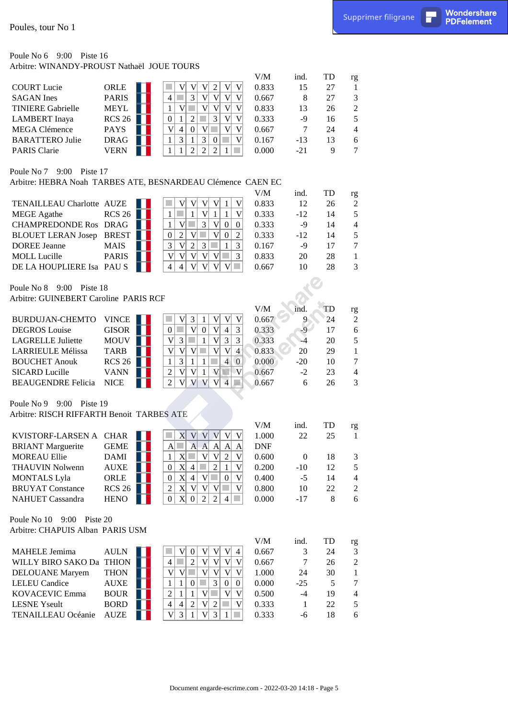### Poule No 6 9:00 Piste 16 Arbitre: WINANDY-PROUST Nathaël JOUE TOURS

| Poules, tour No 1                                                             |                     |                                                                                                                                                                |                |                  |          | Supprimer filigrane              | П | Wondershare<br><b>PDFelement</b> |
|-------------------------------------------------------------------------------|---------------------|----------------------------------------------------------------------------------------------------------------------------------------------------------------|----------------|------------------|----------|----------------------------------|---|----------------------------------|
| Poule No $6\quad 9:00$ Piste 16<br>Arbitre: WINANDY-PROUST Nathaël JOUE TOURS |                     |                                                                                                                                                                |                |                  |          |                                  |   |                                  |
|                                                                               |                     |                                                                                                                                                                | V/M            | ind.             | TD       | rg                               |   |                                  |
| <b>COURT</b> Lucie                                                            | ORLE                | $\sqrt{2}$<br>V<br>V<br>V<br>V<br>V                                                                                                                            | 0.833          | 15               | 27       | 1                                |   |                                  |
| <b>SAGAN</b> Ines                                                             | <b>PARIS</b>        | $\mathfrak{Z}$<br>$\overline{4}$<br>V<br><b>College</b><br>V<br>V<br>V                                                                                         | 0.667          | 8                | 27       | 3                                |   |                                  |
| <b>TINIERE Gabrielle</b>                                                      | <b>MEYL</b>         | V<br>V<br>$\mathbf{1}$<br>×<br>V<br>V<br>V                                                                                                                     | 0.833          | 13               | 26       | $\mathfrak{2}$                   |   |                                  |
| <b>LAMBERT</b> Inaya                                                          | RCS26               | $\boldsymbol{0}$<br>$\boldsymbol{2}$<br>$\mathfrak{Z}$<br>$\mathbf{1}$<br>V<br>$\mathbf V$                                                                     | 0.333          | $-9$             | 16       | 5                                |   |                                  |
| <b>MEGA Clémence</b>                                                          | <b>PAYS</b>         | $\overline{\mathsf{V}}$<br>$V$ $\Box$<br>$\overline{4}$<br> 0 <br>V<br>V                                                                                       | 0.667          | 7                | 24       | $\overline{4}$                   |   |                                  |
| <b>BARATTERO Julie</b>                                                        | <b>DRAG</b>         | $\mathfrak{Z}$<br>$\mathfrak{Z}$<br>$\mathbf{1}$<br>$\mathbf V$<br>1<br>$\overline{0}$<br>M.                                                                   | 0.167          | $-13$            | 13       | 6                                |   |                                  |
| PARIS Clarie                                                                  | <b>VERN</b>         | $\overline{2}$<br>$\overline{2}$<br>$\mathfrak{2}$<br>$\mathbf{1}$<br>1<br>1                                                                                   | 0.000          | $-21$            | 9        | $\overline{7}$                   |   |                                  |
| Poule No 7 9:00 Piste 17                                                      |                     | Arbitre: HEBRA Noah TARBES ATE, BESNARDEAU Clémence CAEN EC                                                                                                    |                |                  |          |                                  |   |                                  |
|                                                                               |                     |                                                                                                                                                                | V/M            | ind.             | TD       | rg                               |   |                                  |
| TENAILLEAU Charlotte AUZE                                                     |                     | V <br> V <br>$\mathbf V$<br> V <br>V<br>$\mathbf{1}$                                                                                                           | 0.833          | 12               | 26       | $\mathfrak{2}$                   |   |                                  |
| <b>MEGE</b> Agathe                                                            | RCS26               | V<br>$\overline{V}$<br>$\mathbf{1}$<br>$\mathbf{1}$<br>$\mathbf{1}$                                                                                            | 0.333          | $-12$            | 14       | $\sqrt{5}$                       |   |                                  |
| <b>CHAMPREDONDE Ros DRAG</b>                                                  |                     | 3<br>V<br>V<br>$\boldsymbol{0}$<br>$\mathbf{1}$<br>$\boldsymbol{0}$                                                                                            | 0.333          | $-9$             | 14       | $\overline{4}$                   |   |                                  |
| <b>BLOUET LERAN Josep</b>                                                     | <b>BREST</b>        | V<br>$\boldsymbol{2}$<br>$\overline{0}$<br>$\overline{2}$<br>V<br>$\boldsymbol{0}$                                                                             | 0.333          | $-12$            | 14       | 5                                |   |                                  |
| <b>DOREE Jeanne</b>                                                           | <b>MAIS</b>         | $\mathfrak{Z}$<br> V <br>$\sqrt{2}$<br>$\mathfrak{Z}$<br>3<br>$\mathbf{1}$                                                                                     | 0.167          | $-9$             | 17       | $\tau$                           |   |                                  |
| <b>MOLL</b> Lucille                                                           | <b>PARIS</b>        | 3<br>V<br> V <br> V <br>V<br>V<br><b>COL</b>                                                                                                                   | 0.833          | 20               | 28       | $\mathbf{1}$                     |   |                                  |
| DE LA HOUPLIERE Isa PAU S                                                     |                     | 4<br>$\overline{4}$<br>V<br>V<br>V<br>V<br><b>College</b>                                                                                                      | 0.667          | 10               | 28       | 3                                |   |                                  |
| Poule No 8 9:00 Piste 18<br>Arbitre: GUINEBERT Caroline PARIS RCF             |                     |                                                                                                                                                                |                |                  |          |                                  |   |                                  |
|                                                                               |                     |                                                                                                                                                                | $V\!/\!M$      | ind.             | TD       | rg                               |   |                                  |
| <b>BURDUJAN-CHEMTO</b>                                                        | <b>VINCE</b>        | $\mathfrak{Z}$<br>V<br>V<br> V <br> V <br>$\mathbf{1}$                                                                                                         | 0.667          |                  | 24       | $\overline{c}$                   |   |                                  |
| <b>DEGROS</b> Louise                                                          | <b>GISOR</b>        | V <br>V<br> 0 <br>$\overline{3}$<br> 0 <br><b>College</b><br>$\overline{4}$                                                                                    | 0.333          |                  | 17       | 6                                |   |                                  |
| <b>LAGRELLE Juliette</b>                                                      | <b>MOUV</b>         | V<br>$\mathbf V$<br>$\mathfrak{Z}$<br>$\mathcal{C}^{\mathcal{A}}$<br>$\mathfrak{Z}$<br>$\mathfrak{Z}$<br>$\mathbf{1}$                                          | 0.333          | $-4$             | 20       | $\sqrt{5}$                       |   |                                  |
| <b>LARRIEULE Mélissa</b>                                                      | <b>TARB</b>         | V<br>V <sub>l</sub><br>V<br> V <br>$\overline{4}$<br> V <br><b>COL</b>                                                                                         | 0.833          | 20               | 29       | $\mathbf{1}$                     |   |                                  |
| <b>BOUCHET Anouk</b>                                                          | RCS26               | $\mathfrak{Z}$<br>$\overline{4}$<br>$\mathbf{1}$<br>$\overline{0}$<br>1<br>-1                                                                                  | 0.000          | $-20$            | 10       | $\tau$                           |   |                                  |
| <b>SICARD Lucille</b>                                                         | <b>VANN</b>         | V <br>V<br>$\overline{2}$<br> V <br>V<br>$\mathbf{V}$<br>$\mathbf{1}$                                                                                          | 0.667          | $-2$             | 23       | $\overline{4}$                   |   |                                  |
| <b>BEAUGENDRE Felicia</b>                                                     | <b>NICE</b>         | $\overline{2}$<br>$\mathbf{V}$<br>V<br>V<br>V<br>4<br>$\sqrt{2}$                                                                                               | 0.667          | 6                | 26       | 3                                |   |                                  |
| Poule No 9 9:00 Piste 19                                                      |                     |                                                                                                                                                                |                |                  |          |                                  |   |                                  |
| Arbitre: RISCH RIFFARTH Benoit TARBES ATE                                     |                     |                                                                                                                                                                |                |                  |          |                                  |   |                                  |
|                                                                               |                     |                                                                                                                                                                | V/M            | ind.             | TD       | rg                               |   |                                  |
| KVISTORF-LARSEN A CHAR                                                        |                     | X <sub>l</sub><br> V <br>V V <br> V <br>V                                                                                                                      | 1.000          | 22               | 25       | 1                                |   |                                  |
| <b>BRIANT</b> Marguerite                                                      | <b>GEME</b>         | A <br>×<br> A <br> A <br> A <br>$\mathbf{A}$<br>A                                                                                                              | <b>DNF</b>     |                  |          |                                  |   |                                  |
| <b>MOREAU Ellie</b>                                                           | <b>DAMI</b>         | V <br>$\mathbf{X}$<br>V<br>$\mathbf V$<br>$\mathbf{1}$<br><b>College</b><br>$\overline{2}$                                                                     | 0.600          | $\boldsymbol{0}$ | 18       | 3                                |   |                                  |
| <b>THAUVIN Nolwenn</b>                                                        | <b>AUXE</b><br>ORLE | $\mathbf{X}$<br>$\overline{0}$<br>$\mathfrak{2}$<br>$\mathbf V$<br>$\overline{4}$<br>1<br>$\mathbf{X}$<br>$\overline{0}$<br>$\vert 4 \vert$<br> V <br>V<br>a s | 0.200<br>0.400 | $-10$<br>$-5$    | 12       | 5                                |   |                                  |
| <b>MONTALS</b> Lyla<br><b>BRUYAT Constance</b>                                | RCS26               | $\boldsymbol{0}$<br>$\boldsymbol{2}$<br>$\mathbf{X}$<br> V <br>V V<br>V<br>$\sim$                                                                              | 0.800          | 10               | 14<br>22 | $\overline{4}$<br>$\mathfrak{2}$ |   |                                  |
| <b>NAHUET Cassandra</b>                                                       | <b>HENO</b>         | 0 <br>X 0 <br>$\vert$ 2<br>$\overline{2}$<br>4                                                                                                                 | 0.000          | $-17$            | 8        | 6                                |   |                                  |
|                                                                               |                     |                                                                                                                                                                |                |                  |          |                                  |   |                                  |
| Poule No 10 9:00 Piste 20<br>Arbitre: CHAPUIS Alban PARIS USM                 |                     |                                                                                                                                                                |                |                  |          |                                  |   |                                  |
|                                                                               |                     |                                                                                                                                                                | V/M            | ind.             | TD       | rg                               |   |                                  |
| <b>MAHELE Jemima</b>                                                          | <b>AULN</b>         | V<br>V<br>V<br>$\boldsymbol{0}$<br><sub>V</sub><br>4                                                                                                           | 0.667          | 3                | 24       | $\mathfrak{Z}$                   |   |                                  |
| WILLY BIRO SAKO Da THION                                                      |                     | H.<br>$\overline{2}$<br>V<br>V<br>$\overline{4}$<br>V<br>V                                                                                                     | 0.667          | $\tau$           | 26       | $\sqrt{2}$                       |   |                                  |
| <b>DELOUANE</b> Maryem                                                        | <b>THON</b>         | V<br> V <br>V<br>V<br>V<br>V                                                                                                                                   | 1.000          | 24               | 30       | $\mathbf{1}$                     |   |                                  |
| <b>LELEU</b> Candice                                                          | <b>AUXE</b>         | $\boldsymbol{0}$<br>3<br>$\mathbf{1}$<br>$\mathbf{1}$<br>$\boldsymbol{0}$<br>$\boldsymbol{0}$                                                                  | 0.000          | $-25$            | 5        | $\boldsymbol{7}$                 |   |                                  |
| <b>KOVACEVIC Emma</b>                                                         | <b>BOUR</b>         | $V$ $\Box$<br>2<br>$\mathbf{1}$<br>$\mathbf{1}$<br>V<br>V                                                                                                      | 0.500          | $-4$             | 19       | $\overline{4}$                   |   |                                  |
| <b>LESNE</b> Yseult                                                           | <b>BORD</b>         | $\overline{2}$<br>$\overline{4}$<br>$\overline{4}$<br>$V\vert 2$<br>V                                                                                          | 0.333          | -1               | 22       | 5                                |   |                                  |
| <b>TENAILLEAU Océanie</b>                                                     | <b>AUZE</b>         | V<br>$\mathfrak{Z}$<br>V <sub>l</sub><br>3<br>1<br>-1                                                                                                          | 0.333          | $-6$             | 18       | 6                                |   |                                  |
|                                                                               |                     |                                                                                                                                                                |                |                  |          |                                  |   |                                  |
|                                                                               |                     |                                                                                                                                                                |                |                  |          |                                  |   |                                  |
|                                                                               |                     | Document engarde-escrime.com - 2022-03-20 14:18 - Page 5                                                                                                       |                |                  |          |                                  |   |                                  |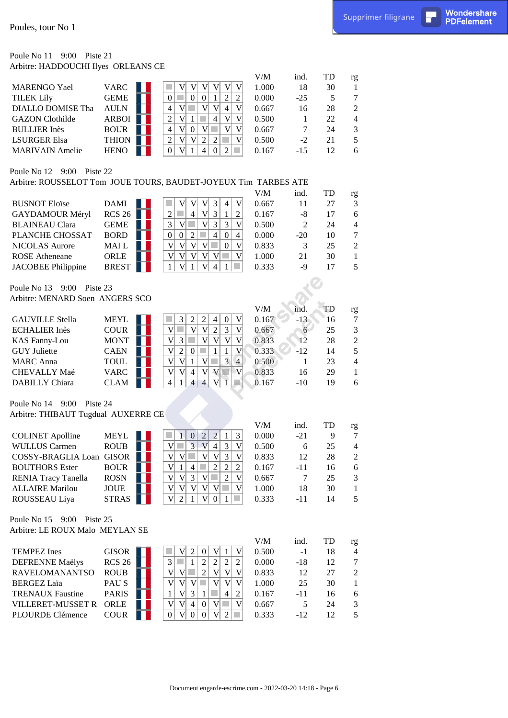Wondershare<br>PDFelement

### Poule No 11 9:00 Piste 21 Arbitre: HADDOUCHI Ilyes ORLEANS CE

|                        |              |               | V/M   | ind.   | TD | rg             |
|------------------------|--------------|---------------|-------|--------|----|----------------|
| MARENGO Yael           | <b>VARC</b>  |               | 1.000 | 18     | 30 |                |
| <b>TILEK Lily</b>      | GEME         |               | 0.000 | $-25$  |    |                |
| DIALLO DOMISE Tha      | <b>AULN</b>  | 4<br>V<br>4   | 0.667 | 16     | 28 | 2              |
| <b>GAZON</b> Clothilde | <b>ARBOI</b> | 2<br>4        | 0.500 |        | 22 | $\overline{4}$ |
| <b>BULLIER Inès</b>    | <b>BOUR</b>  | 4             | 0.667 |        | 24 | $\mathcal{F}$  |
| <b>LSURGER Elsa</b>    | <b>THION</b> | 2<br>V        | 0.500 | $-2$   | 21 | 5.             |
| <b>MARIVAIN</b> Amelie | <b>HENO</b>  | $\Omega$<br>0 | 0.167 | $-1.5$ | 12 | 6              |
|                        |              |               |       |        |    |                |

#### Poule No 12 9:00 Piste 22

|                           |               |  |   |  |   |   | V/M   | ind. |       | TD | rg             |
|---------------------------|---------------|--|---|--|---|---|-------|------|-------|----|----------------|
| <b>BUSNOT Eloïse</b>      | <b>DAMI</b>   |  |   |  |   | 4 | 0.667 |      |       | 27 | 3              |
| <b>GAYDAMOUR Méryl</b>    | <b>RCS 26</b> |  |   |  |   |   | 0.167 |      | -8    |    | 6              |
| <b>BLAINEAU Clara</b>     | GEME          |  | 3 |  | 3 |   | 0.500 |      |       | 24 | 4              |
| <b>PLANCHE CHOSSAT</b>    | <b>BORD</b>   |  |   |  | 4 |   | 0.000 |      | $-20$ | 10 | 7              |
| NICOLAS Aurore            | <b>MAIL</b>   |  |   |  |   |   | 0.833 |      |       | 25 | $\mathfrak{D}$ |
| <b>ROSE</b> Atheneane     | <b>ORLE</b>   |  |   |  |   |   | 1.000 |      | 21    | 30 |                |
| <b>JACOBEE Philippine</b> | <b>BREST</b>  |  |   |  |   |   | 0.333 |      | -9    |    | 5              |

|                        |             |  |   |   |   |          |                | V/M   | ind.  | TD | rg             |
|------------------------|-------------|--|---|---|---|----------|----------------|-------|-------|----|----------------|
| <b>GAUVILLE Stella</b> | <b>MEYL</b> |  |   |   | 4 | $\theta$ |                | 0.167 | $-13$ | 16 | 7              |
| <b>ECHALIER Inès</b>   | <b>COUR</b> |  |   |   | 2 |          |                | 0.667 | 6     | 25 | 3              |
| <b>KAS Fanny-Lou</b>   | <b>MONT</b> |  |   |   |   |          |                | 0.833 | 12    | 28 | $\overline{2}$ |
| <b>GUY Juliette</b>    | <b>CAEN</b> |  |   |   |   |          |                | 0.333 | $-12$ | 14 | 5              |
| <b>MARC</b> Anna       | <b>TOUL</b> |  |   |   |   |          | $\overline{4}$ | 0.500 |       | 23 | $\overline{4}$ |
| <b>CHEVALLY Maé</b>    | VARC        |  |   | 4 |   |          |                | 0.833 | 16    | 29 |                |
| <b>DABILLY</b> Chiara  | CLAM        |  | 4 |   |   |          |                | .167  | $-10$ | 19 | 6              |

| Poules, tour No 1                                            |                            |                                                                                                                                |                |            |          | Supprimer filigrane      | П | Wondershare<br><b>PDFelement</b> |
|--------------------------------------------------------------|----------------------------|--------------------------------------------------------------------------------------------------------------------------------|----------------|------------|----------|--------------------------|---|----------------------------------|
| Poule No 11 9:00 Piste 21                                    |                            |                                                                                                                                |                |            |          |                          |   |                                  |
| Arbitre: HADDOUCHI Ilyes ORLEANS CE                          |                            |                                                                                                                                | V/M            | ind.       | TD       | rg                       |   |                                  |
| <b>MARENGO Yael</b>                                          | <b>VARC</b>                | $\mathbf{V}$<br> V <br> V <br> V <br>V<br>V                                                                                    | 1.000          | 18         | 30       | $\mathbf{1}$             |   |                                  |
| <b>TILEK Lily</b>                                            | <b>GEME</b>                | $\mathbf{2}$<br>$\overline{c}$<br>$\boldsymbol{0}$<br>٠<br> 0 <br>$\overline{0}$<br>1                                          | 0.000          | $-25$      | 5        | 7                        |   |                                  |
| DIALLO DOMISE Tha                                            | <b>AULN</b>                | $\mathbf{V}$<br> V <br>$\overline{4}$<br>V<br>V<br>$\overline{4}$                                                              | 0.667          | 16         | 28       | $\overline{c}$           |   |                                  |
| <b>GAZON</b> Clothilde                                       | ARBOI                      | $\mathfrak{2}$<br>$\mathbf{V}$<br>$\overline{4}$<br>V<br>V<br>$\mathbf{1}$                                                     | 0.500          | 1          | 22       | $\overline{4}$           |   |                                  |
| <b>BULLIER</b> Inès                                          | <b>BOUR</b>                | $V$ $\Box$<br>$\overline{4}$<br> V <br> V <br>V<br> 0                                                                          | 0.667          | 7          | 24       | 3                        |   |                                  |
| <b>LSURGER Elsa</b>                                          | <b>THION</b>               | $\boldsymbol{2}$<br>$\mathbf V$<br> V <br>$\mathfrak{2}$<br>$\overline{2}$<br>V<br>$\mathcal{L}_{\mathcal{A}}$                 | 0.500          | $-2$       | 21       | 5                        |   |                                  |
| <b>MARIVAIN</b> Amelie                                       | <b>HENO</b>                | $\boldsymbol{0}$<br>V<br>$\mathfrak{2}$<br>4<br>$\overline{0}$<br>M.<br>1                                                      | 0.167          | $-15$      | 12       | 6                        |   |                                  |
| Poule No 12 9:00 Piste 22                                    |                            | Arbitre: ROUSSELOT Tom JOUE TOURS, BAUDET-JOYEUX Tim TARBES ATE                                                                |                |            |          |                          |   |                                  |
|                                                              |                            |                                                                                                                                | V/M            | ind.       | TD       |                          |   |                                  |
| <b>BUSNOT Eloïse</b>                                         | <b>DAMI</b>                | V<br>V<br>$\vert 3 \vert$<br>$\overline{4}$<br>V<br>V                                                                          | 0.667          | 11         | 27       | rg<br>3                  |   |                                  |
| GAYDAMOUR Méryl                                              | RCS26                      | V<br>3<br>$\overline{4}$<br>$\boldsymbol{2}$<br>$\boldsymbol{2}$<br>$\mathbf{1}$                                               | 0.167          | $-8$       | 17       | 6                        |   |                                  |
| <b>BLAINEAU Clara</b>                                        | <b>GEME</b>                | $\mathfrak{Z}$<br>V<br>$\mathfrak{Z}$<br>$\mathbf V$<br>$\mathbf{V}$<br>3                                                      | 0.500          | 2          | 24       | $\overline{4}$           |   |                                  |
| PLANCHE CHOSSAT                                              | <b>BORD</b>                | $\boldsymbol{0}$<br>$\boldsymbol{0}$<br>$\overline{2}$<br>$\overline{4}$<br>$\boldsymbol{0}$<br>$\overline{4}$                 | 0.000          | $-20$      | 10       | $\tau$                   |   |                                  |
| <b>NICOLAS Aurore</b>                                        | MAI L                      | $\mathbf V$<br>V<br>V<br>V <sub>1</sub><br>V<br>$\boldsymbol{0}$<br>a a                                                        | 0.833          | 3          | 25       | $\mathfrak{2}$           |   |                                  |
| <b>ROSE</b> Atheneane                                        | ORLE                       | $\mathbf V$<br>V<br>V<br> V <br>V<br>V<br>٠                                                                                    | 1.000          | 21         | 30       | $\mathbf{1}$             |   |                                  |
| <b>JACOBEE Philippine</b>                                    | <b>BREST</b>               | V<br>V<br>1<br><b>College</b><br>1<br>$\overline{4}$<br>1                                                                      | 0.333          | $-9$       | 17       | 5                        |   |                                  |
| Poule No 13 9:00 Piste 23<br>Arbitre: MENARD Soen ANGERS SCO |                            |                                                                                                                                |                |            |          |                          |   |                                  |
|                                                              |                            |                                                                                                                                | V/M            | ind.       | TD       | rg                       |   |                                  |
| <b>GAUVILLE Stella</b>                                       | <b>MEYL</b>                | $\mathfrak{Z}$<br>V<br>$\overline{c}$<br>$\overline{c}$<br>$\boldsymbol{0}$<br>$\overline{4}$                                  | 0.167          | $-13$      | 16       | $\tau$                   |   |                                  |
| <b>ECHALIER Inès</b>                                         | <b>COUR</b>                | $\overline{V}$<br>$\mathbf V$<br> V <br>$\mathfrak{Z}$<br>V<br>$\sqrt{2}$<br>a s                                               | 0.667          | 6          | 25       | $\sqrt{3}$               |   |                                  |
| <b>KAS Fanny-Lou</b>                                         | <b>MONT</b>                | $\overline{\mathsf{V}}$<br>$\mathbf V$<br>$\mathfrak{Z}$<br> V <br>$\mathbf V$<br>V                                            | 0.833          | 12         | 28       | $\overline{2}$           |   |                                  |
| <b>GUY</b> Juliette                                          | <b>CAEN</b>                | $\mathbf V$<br>$\overline{2}$<br>V<br>$\boldsymbol{0}$<br><b>College</b><br>$\mathbf{1}$<br>$\mathbf{1}$                       | 0.333          | $-12$      | 14       | 5                        |   |                                  |
| <b>MARC</b> Anna<br>CHEVALLY Maé                             | <b>TOUL</b><br><b>VARC</b> | V <br>$\overline{3}$<br> V <br>V<br>$\overline{4}$<br>-1<br>a a<br>V<br>V<br>$\mathbf{V}$<br>V                                 | 0.500          | 1<br>16    | 23<br>29 | $\overline{\mathcal{A}}$ |   |                                  |
| DABILLY Chiara                                               | <b>CLAM</b>                | $\mathbf V$<br>$\overline{4}$<br>4<br>$\overline{\mathcal{A}}$<br>$\overline{4}$<br>V<br>1<br>$\sqrt{2}$<br>1                  | 0.833<br>0.167 | $-10$      | 19       | $\mathbf{1}$<br>6        |   |                                  |
| Poule No 14 9:00 Piste 24                                    |                            |                                                                                                                                |                |            |          |                          |   |                                  |
| Arbitre: THIBAUT Tugdual AUXERRE CE                          |                            |                                                                                                                                |                |            |          |                          |   |                                  |
|                                                              |                            |                                                                                                                                | V/M            | ind.       | TD       | $\mathbf{r}\mathbf{g}$   |   |                                  |
| <b>COLINET Apolline</b>                                      | <b>MEYL</b>                | $\sqrt{2}$<br>$\mathfrak{Z}$<br>$\vert 0 \vert$<br>$\overline{2}$<br>1<br>$\mathbf{1}$                                         | 0.000          | $-21$      | 9        | $\boldsymbol{7}$         |   |                                  |
| <b>WULLUS Carmen</b>                                         | <b>ROUB</b>                | 3<br>$\overline{V}$<br>$\mathbf V$<br>V<br>$\mathfrak{Z}$<br>4                                                                 | 0.500          | 6          | 25       | 4                        |   |                                  |
| COSSY-BRAGLIA Loan GISOR                                     |                            | $\mathbf{V}$<br>V<br>V<br>$\mathfrak{Z}$<br>V<br>V                                                                             | 0.833          | 12         | 28       | $\overline{c}$           |   |                                  |
| <b>BOUTHORS</b> Ester                                        | <b>BOUR</b>                | $\mathbf{V}$<br>$\mathfrak{2}$<br>$\boldsymbol{2}$<br>$\mathfrak{2}$<br>$\overline{4}$<br>1<br>V<br>V<br>V<br>V<br>×           | 0.167          | $-11$      | 16       | 6                        |   |                                  |
| <b>RENIA Tracy Tanella</b><br><b>ALLAIRE</b> Marilou         | <b>ROSN</b><br><b>JOUE</b> | 3 <br>$\boldsymbol{2}$<br>V<br>V<br>$\mathbf{V}$<br> V <br> V <br>V                                                            | 0.667<br>1.000 | 7<br>18    | 25<br>30 | 3<br>$\mathbf{1}$        |   |                                  |
| ROUSSEAU Liya                                                | <b>STRAS</b>               | V<br>$\overline{2}$<br>V<br>$\overline{0}$<br>-1<br><b>College</b><br>-1                                                       | 0.333          | $-11$      | 14       | 5                        |   |                                  |
| Poule No 15 9:00 Piste 25                                    |                            |                                                                                                                                |                |            |          |                          |   |                                  |
| Arbitre: LE ROUX Malo MEYLAN SE                              |                            |                                                                                                                                |                |            |          |                          |   |                                  |
|                                                              |                            |                                                                                                                                | V/M            | ind.       | TD       | rg                       |   |                                  |
| <b>TEMPEZ</b> Ines                                           | GISOR                      | $\overline{2}$<br>V<br>V<br>V<br>$\boldsymbol{0}$<br>$\mathbf{1}$                                                              | 0.500          | $-1$       | 18       | $\overline{4}$           |   |                                  |
| <b>DEFRENNE Maëlys</b>                                       | RCS26                      | $\overline{c}$<br>$\overline{2}$<br>3<br>$\overline{c}$<br>-1<br>2                                                             | 0.000          | $-18$      | 12       | $\tau$                   |   |                                  |
| RAVELOMANANTSO                                               | <b>ROUB</b>                | $\mathbf V$<br>$\sqrt{2}$<br>$\mathbf V$<br>V<br> V <br>V                                                                      | 0.833          | 12         | 27       | $\overline{c}$           |   |                                  |
| <b>BERGEZ Laïa</b>                                           | PAU S                      | $\mathbf V$<br>V<br>V<br>$V$ $\Box$<br>V<br>V                                                                                  | 1.000          | 25         | 30       | $\mathbf{1}$             |   |                                  |
| <b>TRENAUX Faustine</b>                                      | <b>PARIS</b>               | $\mathbf V$<br>$\vert 3 \vert$<br>$\overline{c}$<br>$\mathbf{1}$<br>4<br>1                                                     | 0.167          | $-11$      | 16       | 6                        |   |                                  |
| VILLERET-MUSSET R<br>PLOURDE Clémence                        | ORLE<br><b>COUR</b>        | V<br>V<br>V<br>V<br> 4 <br>$\boldsymbol{0}$<br>٠<br>$\overline{0}$<br> V <br> 0 <br>$\overline{0}$<br>V<br>2<br><b>College</b> | 0.667<br>0.333 | 5<br>$-12$ | 24<br>12 | $\mathfrak 3$<br>5       |   |                                  |
|                                                              |                            |                                                                                                                                |                |            |          |                          |   |                                  |
|                                                              |                            | Document engarde-escrime.com - 2022-03-20 14:18 - Page 6                                                                       |                |            |          |                          |   |                                  |

|                         |                  |  |   |  |   | V/M   | ind.  | TD | rg             |
|-------------------------|------------------|--|---|--|---|-------|-------|----|----------------|
| <b>TEMPEZ</b> Ines      | GISOR            |  |   |  |   | 0.500 | $-1$  | 18 | $\overline{4}$ |
| <b>DEFRENNE Maëlys</b>  | <b>RCS 26</b>    |  |   |  |   | 0.000 | $-18$ | 12 | $\tau$         |
| <b>RAVELOMANANTSO</b>   | <b>ROUB</b>      |  |   |  |   | 0.833 | 12    | 27 | $\mathfrak{D}$ |
| <b>BERGEZ Laïa</b>      | PAU <sub>S</sub> |  |   |  |   | 1.000 | 25    | 30 |                |
| <b>TRENAUX Faustine</b> | <b>PARIS</b>     |  |   |  | 4 | 0.167 | $-11$ | 16 | 6              |
| VILLERET-MUSSET R       | ORLE             |  | 4 |  |   | 0.667 |       | 24 | $\mathcal{F}$  |
| <b>PLOURDE Clémence</b> | <b>COUR</b>      |  |   |  |   | 0.333 | $-12$ | 12 | $\sim$         |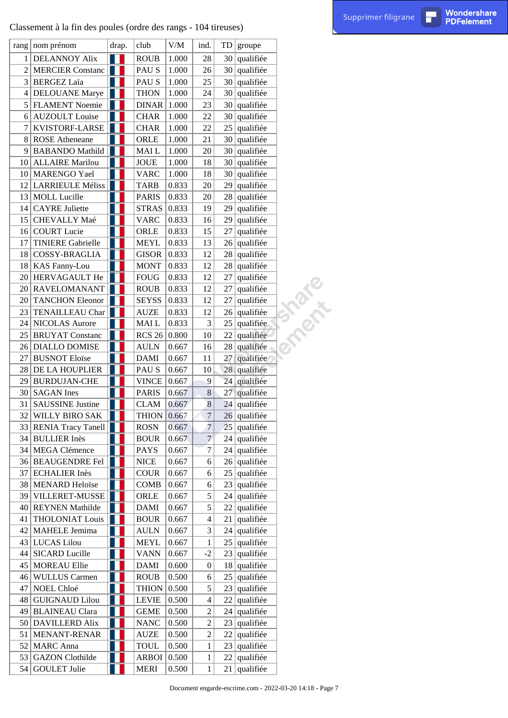# Classement à la fin des poules (ordre des rangs - 104 tireuses) par les page 104 tireuses de la fin des poules (ordre des rangs - 104 tireuses)

|           | Classement à la fin des poules (ordre des rangs - 104 tireuses) |                |               |                     |                          |           |               |                                                          | Supprimer filigrane | П | <b>Wondershare</b><br><b>PDFelement</b> |
|-----------|-----------------------------------------------------------------|----------------|---------------|---------------------|--------------------------|-----------|---------------|----------------------------------------------------------|---------------------|---|-----------------------------------------|
|           | rang   nom prénom                                               | drap.          | club          | $V\!/\!M$           | ind.                     | <b>TD</b> | groupe        |                                                          |                     |   |                                         |
| 1         | <b>DELANNOY Alix</b>                                            | Ш              | <b>ROUB</b>   | 1.000               | 28                       | 30        | qualifiée     |                                                          |                     |   |                                         |
| $\vert$ 2 | <b>MERCIER Constanc</b>                                         |                | PAU S         | 1.000               | 26                       | 30        | qualifiée     |                                                          |                     |   |                                         |
| 3         | <b>BERGEZ Laïa</b>                                              |                | PAU S         | 1.000               | 25                       | 30        | qualifiée     |                                                          |                     |   |                                         |
| 4         | <b>DELOUANE</b> Marye                                           |                | <b>THON</b>   | 1.000               | 24                       | 30        | qualifiée     |                                                          |                     |   |                                         |
|           | 5 FLAMENT Noemie                                                |                | <b>DINAR</b>  | 1.000               | 23                       | 30        | qualifiée     |                                                          |                     |   |                                         |
| $6 \mid$  | <b>AUZOULT</b> Louise                                           |                | <b>CHAR</b>   | 1.000               | 22                       | 30        | qualifiée     |                                                          |                     |   |                                         |
| 7         | KVISTORF-LARSE                                                  |                | <b>CHAR</b>   | 1.000               | 22                       | 25        | qualifiée     |                                                          |                     |   |                                         |
| 8         | <b>ROSE</b> Atheneane                                           |                | ORLE          | 1.000               | 21                       | 30        | qualifiée     |                                                          |                     |   |                                         |
| 9         | <b>BABANDO</b> Mathild                                          |                | <b>MAIL</b>   | 1.000               | $20\,$                   | 30        | qualifiée     |                                                          |                     |   |                                         |
| 10        | <b>ALLAIRE</b> Marilou                                          |                | JOUE          | 1.000               | 18                       | 30        | qualifiée     |                                                          |                     |   |                                         |
| 10        | MARENGO Yael                                                    |                | <b>VARC</b>   | 1.000               | 18                       | 30        | qualifiée     |                                                          |                     |   |                                         |
| 12        | <b>LARRIEULE Méliss</b>                                         |                | <b>TARB</b>   | 0.833               | $20\,$                   | 29        | qualifiée     |                                                          |                     |   |                                         |
| 13        | <b>MOLL</b> Lucille                                             |                | <b>PARIS</b>  | 0.833               | $20\,$                   | 28        | qualifiée     |                                                          |                     |   |                                         |
| 14        | <b>CAYRE</b> Juliette                                           |                | <b>STRAS</b>  | 0.833               | 19                       | 29        | qualifiée     |                                                          |                     |   |                                         |
| 15        | CHEVALLY Maé                                                    |                | <b>VARC</b>   | 0.833               | 16                       | 29        | qualifiée     |                                                          |                     |   |                                         |
| 16        | <b>COURT</b> Lucie                                              |                | ORLE          | 0.833               | 15                       | 27        | qualifiée     |                                                          |                     |   |                                         |
| 17        | <b>TINIERE Gabrielle</b>                                        |                | <b>MEYL</b>   | 0.833               | 13                       | 26        | qualifiée     |                                                          |                     |   |                                         |
| 18        | COSSY-BRAGLIA                                                   |                | <b>GISOR</b>  | 0.833               | 12                       | 28        | qualifiée     |                                                          |                     |   |                                         |
| 18        | <b>KAS Fanny-Lou</b>                                            |                | <b>MONT</b>   | 0.833               | 12                       | 28        | qualifiée     |                                                          |                     |   |                                         |
| 20        | HERVAGAULT He                                                   |                | <b>FOUG</b>   | 0.833               | 12                       | 27        | qualifiée     |                                                          |                     |   |                                         |
| 20        | RAVELOMANANT                                                    |                | <b>ROUB</b>   | 0.833               | 12                       | 27        | qualifiée     |                                                          |                     |   |                                         |
| 20        | <b>TANCHON Eleonor</b>                                          |                | <b>SEYSS</b>  | 0.833               | 12                       | 27        | qualifiée     |                                                          |                     |   |                                         |
| 23        | TENAILLEAU Char                                                 |                | <b>AUZE</b>   | 0.833               | 12                       | 26        | qualifiée     | <b>Zonte</b>                                             |                     |   |                                         |
| 24        | <b>NICOLAS</b> Aurore                                           |                | MAI L         | 0.833               | 3                        | 25        | qualifiée     |                                                          |                     |   |                                         |
| 25        | <b>BRUYAT</b> Constanc                                          |                | <b>RCS 26</b> | $\vert 0.800 \vert$ | 10                       | 22        | qualifiée     |                                                          |                     |   |                                         |
| 26        | <b>DIALLO DOMISE</b>                                            |                | <b>AULN</b>   | 0.667               | 16                       | 28        | qualifiée     |                                                          |                     |   |                                         |
| 27        | <b>BUSNOT Eloïse</b>                                            |                | <b>DAMI</b>   | 0.667               | 11                       | 27        | qualifiée     |                                                          |                     |   |                                         |
| 28        | <b>DE LA HOUPLIER</b>                                           |                | PAU S         | 0.667               | 10                       | 28        | qualifiée     |                                                          |                     |   |                                         |
| 29        | <b>BURDUJAN-CHE</b>                                             |                | VINCE         | 0.667               | 9                        |           | 24 qualifiée  |                                                          |                     |   |                                         |
|           | $30$ SAGAN Ines                                                 | $\mathbb{R}^n$ | <b>PARIS</b>  | 0.667               | 8 <sup>1</sup>           |           | 27 qualifiée  |                                                          |                     |   |                                         |
| 31        | <b>SAUSSINE Justine</b>                                         |                | <b>CLAM</b>   | 0.667               | $8\,$                    | 24        | qualifiée     |                                                          |                     |   |                                         |
|           | 32 WILLY BIRO SAK                                               |                | <b>THION</b>  | 0.667               | $\overline{7}$           | 26        | qualifiée     |                                                          |                     |   |                                         |
|           | 33 RENIA Tracy Tanell                                           |                | <b>ROSN</b>   | 0.667               | $\overline{7}$           | 25        | qualifiée     |                                                          |                     |   |                                         |
|           | 34 BULLIER Inès                                                 |                | <b>BOUR</b>   | 0.667               | $7\phantom{.}$           | 24        | qualifiée     |                                                          |                     |   |                                         |
|           | 34 MEGA Clémence                                                |                | <b>PAYS</b>   | 0.667               | 7                        | 24        | qualifiée     |                                                          |                     |   |                                         |
|           | 36 BEAUGENDRE Fel                                               |                | <b>NICE</b>   | 0.667               | 6                        | 26        | qualifiée     |                                                          |                     |   |                                         |
| 37        | <b>ECHALIER Inès</b>                                            |                | <b>COUR</b>   | 0.667               | 6                        | 25        | qualifiée     |                                                          |                     |   |                                         |
|           | 38   MENARD Heloïse                                             |                | <b>COMB</b>   | 0.667               | 6                        | 23        | qualifiée     |                                                          |                     |   |                                         |
| 39        | VILLERET-MUSSE                                                  |                | ORLE          | 0.667               | 5                        | 24        | qualifiée     |                                                          |                     |   |                                         |
| 40        | <b>REYNEN</b> Mathilde                                          |                | <b>DAMI</b>   | 0.667               | 5                        | 22        | qualifiée     |                                                          |                     |   |                                         |
| 41        | <b>THOLONIAT Louis</b>                                          |                | <b>BOUR</b>   | 0.667               | $\overline{\mathcal{A}}$ | 21        | qualifiée     |                                                          |                     |   |                                         |
|           | 42   MAHELE Jemima                                              |                | <b>AULN</b>   | 0.667               | 3                        | 24        | qualifiée     |                                                          |                     |   |                                         |
|           | 43 LUCAS Lilou                                                  |                | <b>MEYL</b>   | 0.667               | 1                        | 25        | qualifiée     |                                                          |                     |   |                                         |
|           | 44 SICARD Lucille                                               |                | <b>VANN</b>   | 0.667               | $-2$                     | 23        | qualifiée     |                                                          |                     |   |                                         |
| 45        | <b>MOREAU Ellie</b>                                             |                | <b>DAMI</b>   | 0.600               | $\boldsymbol{0}$         | 18        | qualifiée     |                                                          |                     |   |                                         |
| 46        | <b>WULLUS Carmen</b>                                            |                | <b>ROUB</b>   | 0.500               | 6                        | 25        | qualifiée     |                                                          |                     |   |                                         |
| 47        | NOEL Chloé                                                      |                | THION $0.500$ |                     | 5                        | 23        | qualifiée     |                                                          |                     |   |                                         |
| 48        | <b>GUIGNAUD Lilou</b>                                           |                | LEVIE         | 0.500               | $\overline{\mathcal{A}}$ | 22        | qualifiée     |                                                          |                     |   |                                         |
| 49        | <b>BLAINEAU Clara</b>                                           |                | <b>GEME</b>   | 0.500               | $\mathbf{2}$             | 24        | qualifiée     |                                                          |                     |   |                                         |
|           | 50 DAVILLERD Alix                                               |                | <b>NANC</b>   | 0.500               | $\overline{\mathbf{c}}$  | 23        | qualifiée     |                                                          |                     |   |                                         |
|           | 51   MENANT-RENAR                                               |                | <b>AUZE</b>   | 0.500               | $\overline{c}$           | 22        | qualifiée     |                                                          |                     |   |                                         |
|           | 52   MARC Anna                                                  |                | TOUL          | 0.500               | $\mathbf{1}$             | 23        | qualifiée     |                                                          |                     |   |                                         |
| 53        | <b>GAZON</b> Clothilde                                          |                | ARBOI   0.500 |                     | $\mathbf{1}$             | 22        | qualifiée     |                                                          |                     |   |                                         |
|           | 54 GOULET Julie                                                 |                | <b>MERI</b>   | 0.500               | 1                        | 21        | $ $ qualifiée |                                                          |                     |   |                                         |
|           |                                                                 |                |               |                     |                          |           |               | Document engarde-escrime.com - 2022-03-20 14:18 - Page 7 |                     |   |                                         |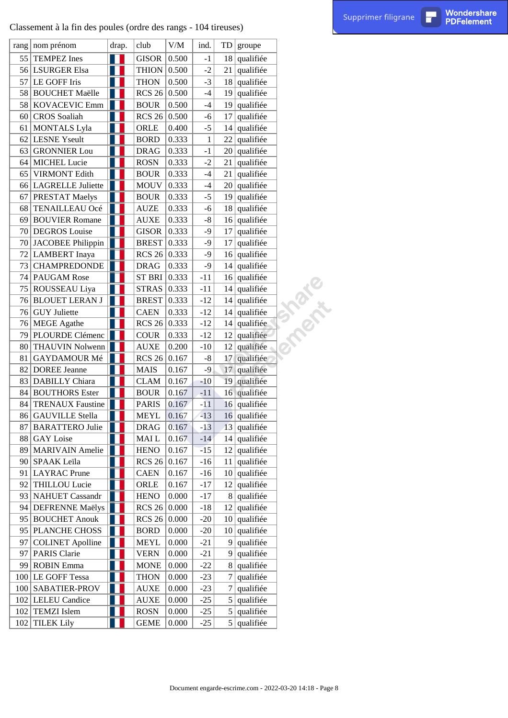## Classement à la fin des poules (ordre des rangs - 104 tireuses)

|    | Classement à la fin des poules (ordre des rangs - 104 tireuses) |       |                 |                     |       |    |                             |                                                          | Supprimer filigrane | П | Wondershare<br><b>PDFelement</b> |
|----|-----------------------------------------------------------------|-------|-----------------|---------------------|-------|----|-----------------------------|----------------------------------------------------------|---------------------|---|----------------------------------|
|    | rang   nom prénom                                               | drap. | club            | $V\!/\!M$           | ind.  | TD | groupe                      |                                                          |                     |   |                                  |
| 55 | <b>TEMPEZ</b> Ines                                              | Ш     | <b>GISOR</b>    | 0.500               | $-1$  | 18 | qualifiée                   |                                                          |                     |   |                                  |
|    | 56 LSURGER Elsa                                                 |       | THION $0.500$   |                     | $-2$  | 21 | qualifiée                   |                                                          |                     |   |                                  |
| 57 | LE GOFF Iris                                                    |       | <b>THON</b>     | 0.500               | $-3$  | 18 | qualifiée                   |                                                          |                     |   |                                  |
|    | 58 BOUCHET Maëlle                                               |       | <b>RCS 26</b>   | 0.500               | $-4$  | 19 | qualifiée                   |                                                          |                     |   |                                  |
| 58 | KOVACEVIC Emm                                                   | H     | <b>BOUR</b>     | 0.500               | $-4$  | 19 | qualifiée                   |                                                          |                     |   |                                  |
|    | 60 CROS Soaliah                                                 |       | <b>RCS 26</b>   | 0.500               | $-6$  | 17 | qualifiée                   |                                                          |                     |   |                                  |
| 61 | <b>MONTALS Lyla</b>                                             |       | ORLE            | 0.400               | $-5$  | 14 | qualifiée                   |                                                          |                     |   |                                  |
| 62 | <b>LESNE</b> Yseult                                             |       | <b>BORD</b>     | 0.333               | 1     | 22 | qualifiée                   |                                                          |                     |   |                                  |
| 63 | <b>GRONNIER Lou</b>                                             |       | <b>DRAG</b>     | 0.333               | $-1$  | 20 | qualifiée                   |                                                          |                     |   |                                  |
| 64 | <b>MICHEL Lucie</b>                                             |       | <b>ROSN</b>     | 0.333               | $-2$  | 21 | qualifiée                   |                                                          |                     |   |                                  |
| 65 | <b>VIRMONT Edith</b>                                            |       | <b>BOUR</b>     | 0.333               | $-4$  | 21 | qualifiée                   |                                                          |                     |   |                                  |
| 66 | LAGRELLE Juliette                                               |       | <b>MOUV</b>     | 0.333               | $-4$  | 20 | qualifiée                   |                                                          |                     |   |                                  |
| 67 | PRESTAT Maelys                                                  | H     | <b>BOUR</b>     | 0.333               | $-5$  | 19 | qualifiée                   |                                                          |                     |   |                                  |
| 68 | TENAILLEAU Océ                                                  | Ш     | <b>AUZE</b>     | 0.333               | $-6$  |    | $18$ qualifiée              |                                                          |                     |   |                                  |
| 69 | <b>BOUVIER Romane</b>                                           |       | <b>AUXE</b>     | 0.333               | $-8$  | 16 | qualifiée                   |                                                          |                     |   |                                  |
|    | 70 DEGROS Louise                                                | H     | <b>GISOR</b>    | 0.333               | $-9$  | 17 | qualifiée                   |                                                          |                     |   |                                  |
|    | 70 JACOBEE Philippin                                            | H     | <b>BREST</b>    | 0.333               | $-9$  | 17 | qualifiée                   |                                                          |                     |   |                                  |
|    | 72 LAMBERT Inaya                                                |       | RCS 26 $ 0.333$ |                     | $-9$  |    | $16$ qualifiée              |                                                          |                     |   |                                  |
| 73 | <b>CHAMPREDONDE</b>                                             |       | <b>DRAG</b>     | 0.333               | $-9$  | 14 | qualifiée                   |                                                          |                     |   |                                  |
|    | 74   PAUGAM Rose                                                |       | ST BRI 0.333    |                     | $-11$ | 16 | qualifiée                   |                                                          |                     |   |                                  |
| 75 | <b>ROUSSEAU Liya</b>                                            |       | <b>STRAS</b>    | 0.333               | $-11$ | 14 | qualifiée                   | T 2021 E                                                 |                     |   |                                  |
|    | 76 BLOUET LERAN J                                               | H     | <b>BREST</b>    | 0.333               | $-12$ |    | $14$ qualifiée              |                                                          |                     |   |                                  |
|    | 76 GUY Juliette                                                 |       | <b>CAEN</b>     | 0.333               | $-12$ | 14 | qualifiée                   |                                                          |                     |   |                                  |
|    | 76   MEGE Agathe                                                |       | RCS 26 $ 0.333$ |                     | $-12$ | 14 | qualifiée                   |                                                          |                     |   |                                  |
| 79 | PLOURDE Clémenc                                                 | H     | <b>COUR</b>     | 0.333               | $-12$ | 12 | qualifiée                   |                                                          |                     |   |                                  |
| 80 | THAUVIN Nolwenn                                                 |       | <b>AUXE</b>     | 0.200               | $-10$ | 12 | qualifiée                   |                                                          |                     |   |                                  |
| 81 | GAYDAMOUR Mé                                                    |       | <b>RCS 26</b>   | 0.167               | $-8$  | 17 | qualifiée                   |                                                          |                     |   |                                  |
| 82 | <b>DOREE Jeanne</b>                                             |       | <b>MAIS</b>     | 0.167               | $-9$  | 17 | qualifiée                   |                                                          |                     |   |                                  |
| 83 | <b>DABILLY</b> Chiara                                           |       | <b>CLAM</b>     | 0.167               | $-10$ | 19 | qualifiée                   |                                                          |                     |   |                                  |
|    | 84 BOUTHORS Ester                                               | H I   | <b>BOUR</b>     | 0.167               | $-11$ |    | 16 qualifiée                |                                                          |                     |   |                                  |
| 84 | <b>TRENAUX Faustine</b>                                         |       | <b>PARIS</b>    | 0.167               | $-11$ |    | 16 qualifiée                |                                                          |                     |   |                                  |
|    | 86 GAUVILLE Stella                                              |       | MEYL            | 0.167               | $-13$ | 16 | qualifiée                   |                                                          |                     |   |                                  |
| 87 | <b>BARATTERO Julie</b>                                          |       | <b>DRAG</b>     | 0.167               | $-13$ | 13 | qualifiée                   |                                                          |                     |   |                                  |
|    |                                                                 |       |                 | 0.167               | $-14$ |    | $14$ qualifiée              |                                                          |                     |   |                                  |
|    | 88 GAY Loise<br><b>MARIVAIN</b> Amelie                          | H     | MAI L           |                     |       |    |                             |                                                          |                     |   |                                  |
| 89 |                                                                 |       | <b>HENO</b>     | 0.167               | $-15$ | 12 | qualifiée                   |                                                          |                     |   |                                  |
|    | 90 SPAAK Leïla                                                  |       | RCS $26 0.167$  |                     | $-16$ | 11 | qualifiée                   |                                                          |                     |   |                                  |
| 91 | LAYRAC Prune                                                    |       | <b>CAEN</b>     | 0.167               | $-16$ | 10 | qualifiée                   |                                                          |                     |   |                                  |
| 92 | <b>THILLOU Lucie</b><br><b>NAHUET</b> Cassandr                  |       | ORLE            | 0.167               | $-17$ |    | $12$ qualifiée<br>qualifiée |                                                          |                     |   |                                  |
| 93 |                                                                 |       | <b>HENO</b>     | 0.000               | $-17$ | 8  |                             |                                                          |                     |   |                                  |
| 94 | <b>DEFRENNE Maëlys</b><br>95 BOUCHET Anouk                      |       | RCS $26 0.000$  |                     | $-18$ | 12 | qualifiée                   |                                                          |                     |   |                                  |
|    |                                                                 |       | <b>RCS 26</b>   | $\vert 0.000 \vert$ | $-20$ | 10 | qualifiée                   |                                                          |                     |   |                                  |
|    | 95 PLANCHE CHOSS                                                | H     | <b>BORD</b>     | 0.000               | $-20$ |    | $10$ qualifiée              |                                                          |                     |   |                                  |
| 97 | COLINET Apolline                                                |       | <b>MEYL</b>     | 0.000               | $-21$ | 9  | qualifiée                   |                                                          |                     |   |                                  |
| 97 | <b>PARIS</b> Clarie                                             |       | <b>VERN</b>     | 0.000               | $-21$ | 9  | qualifiée                   |                                                          |                     |   |                                  |
| 99 | <b>ROBIN</b> Emma                                               |       | <b>MONE</b>     | 0.000               | $-22$ | 8  | qualifiée                   |                                                          |                     |   |                                  |
|    | 100 LE GOFF Tessa                                               |       | <b>THON</b>     | 0.000               | $-23$ | 7  | qualifiée                   |                                                          |                     |   |                                  |
|    | 100 SABATIER-PROV                                               |       | <b>AUXE</b>     | 0.000               | $-23$ | 7  | qualifiée                   |                                                          |                     |   |                                  |
|    | 102 LELEU Candice                                               |       | <b>AUXE</b>     | 0.000               | $-25$ | 5  | qualifiée                   |                                                          |                     |   |                                  |
|    | 102 TEMZI Islem                                                 |       | <b>ROSN</b>     | 0.000               | $-25$ | 5  | qualifiée                   |                                                          |                     |   |                                  |
|    | 102 TILEK Lily                                                  |       | <b>GEME</b>     | 0.000               | $-25$ |    | $5$ qualifiée               |                                                          |                     |   |                                  |
|    |                                                                 |       |                 |                     |       |    |                             | Document engarde-escrime.com - 2022-03-20 14:18 - Page 8 |                     |   |                                  |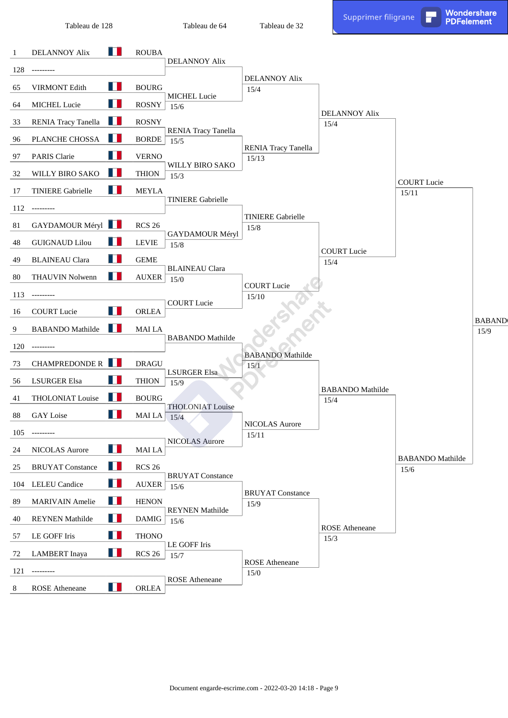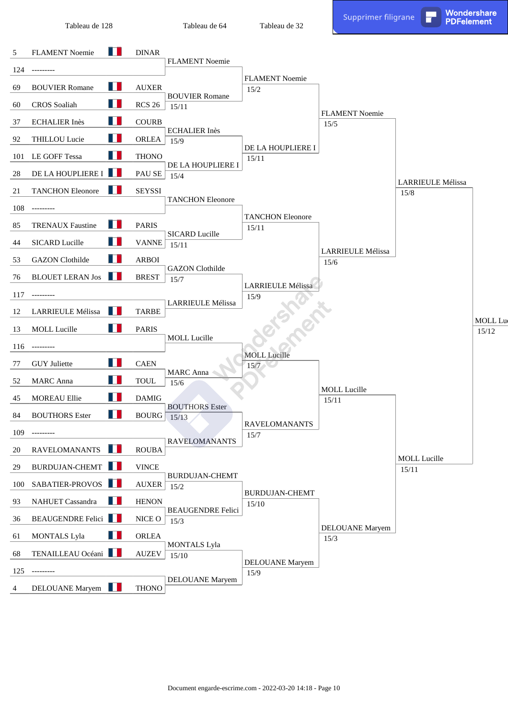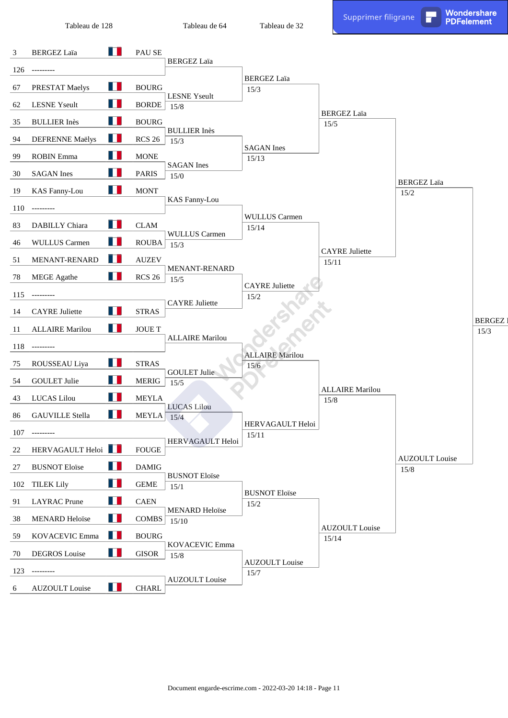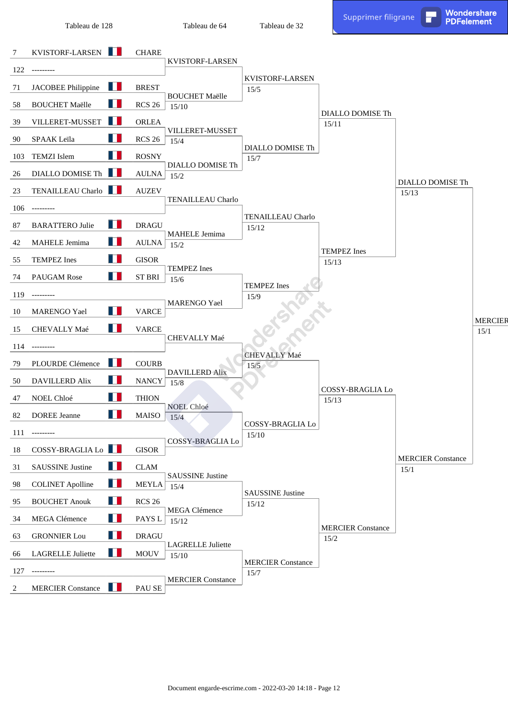Tableau de 64

PDFelement Tableau de Br

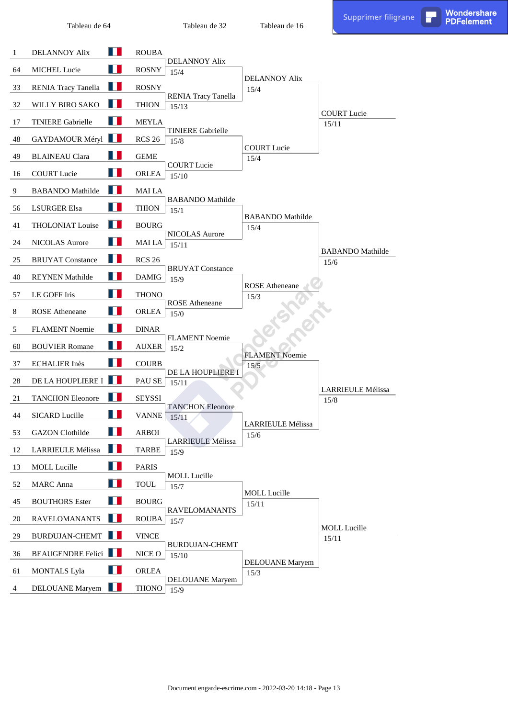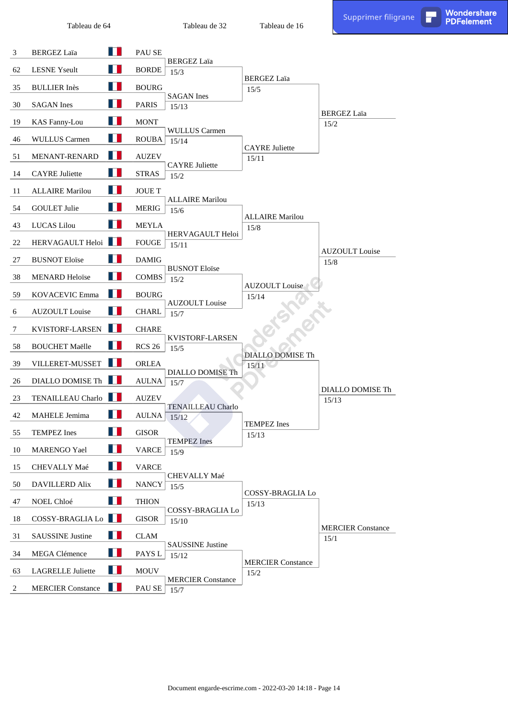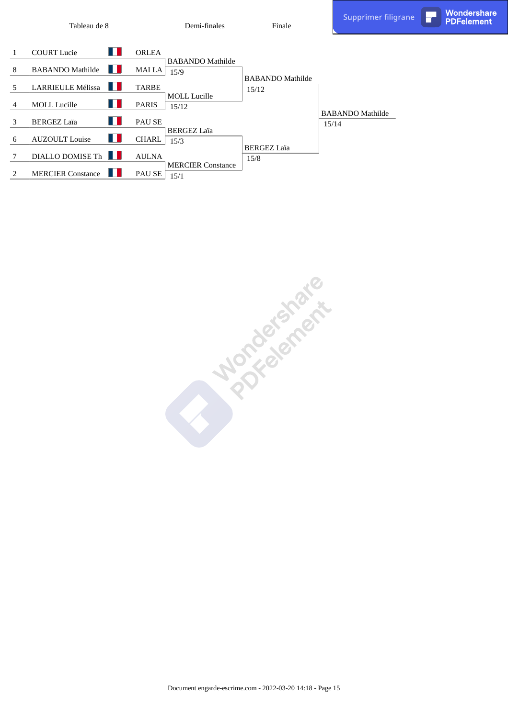Demi-finales

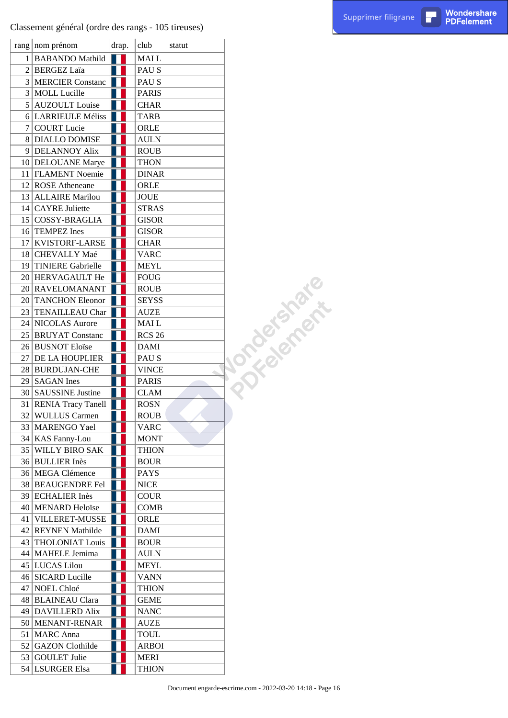### Classement général (ordre des rangs - 105 tireuses)

| rang   nom prénom     | drap. |  | club          | statut |                     |
|-----------------------|-------|--|---------------|--------|---------------------|
| 1 BABANDO Mathild     |       |  | MAI L         |        |                     |
| 2   BERGEZ Laïa       |       |  | PAU S         |        |                     |
| 3 MERCIER Constanc    |       |  | PAU S         |        |                     |
| 3 MOLL Lucille        |       |  | <b>PARIS</b>  |        |                     |
| 5 AUZOULT Louise      |       |  | CHAR          |        |                     |
| 6 LARRIEULE Méliss    |       |  | TARB          |        |                     |
| 7 COURT Lucie         |       |  | ORLE          |        |                     |
| 8 DIALLO DOMISE       |       |  | <b>AULN</b>   |        |                     |
| 9 DELANNOY Alix       |       |  | <b>ROUB</b>   |        |                     |
| 10 DELOUANE Marye     |       |  | <b>THON</b>   |        |                     |
| 11   FLAMENT Noemie   |       |  | <b>DINAR</b>  |        |                     |
| 12 ROSE Atheneane     |       |  | ORLE          |        |                     |
| 13 ALLAIRE Marilou    |       |  | JOUE          |        |                     |
| 14 CAYRE Juliette     |       |  | <b>STRAS</b>  |        |                     |
| 15 COSSY-BRAGLIA      |       |  | <b>GISOR</b>  |        |                     |
| 16 TEMPEZ Ines        |       |  | <b>GISOR</b>  |        |                     |
| 17 KVISTORF-LARSE     |       |  | CHAR          |        |                     |
| 18 CHEVALLY Maé       |       |  | VARC          |        |                     |
|                       |       |  |               |        |                     |
| 19 TINIERE Gabrielle  |       |  | MEYL          |        | <b>Jongdefeater</b> |
| 20 HERVAGAULT He      |       |  | <b>FOUG</b>   |        |                     |
| 20 RAVELOMANANT       |       |  | <b>ROUB</b>   |        |                     |
| 20 TANCHON Eleonor    |       |  | <b>SEYSS</b>  |        |                     |
| 23 TENAILLEAU Char    |       |  | AUZE          |        |                     |
| 24 NICOLAS Aurore     |       |  | MAI L         |        |                     |
| 25 BRUYAT Constanc    |       |  | <b>RCS 26</b> |        |                     |
| 26 BUSNOT Eloïse      |       |  | DAMI          |        |                     |
| 27 DE LA HOUPLIER     |       |  | PAU S         |        |                     |
| 28 BURDUJAN-CHE       |       |  | <b>VINCE</b>  |        |                     |
| 29 SAGAN Ines         |       |  | PARIS         |        |                     |
| 30 SAUSSINE Justine   |       |  | <b>CLAM</b>   |        |                     |
| 31 RENIA Tracy Tanell |       |  | ROSN          |        |                     |
| 32 WULLUS Carmen      |       |  | <b>ROUB</b>   |        |                     |
| 33   MARENGO Yael     |       |  | <b>VARC</b>   |        |                     |
| 34   KAS Fanny-Lou    |       |  | <b>MONT</b>   |        |                     |
| 35 WILLY BIRO SAK     |       |  | <b>THION</b>  |        |                     |
| 36 BULLIER Inès       |       |  | <b>BOUR</b>   |        |                     |
| 36 MEGA Clémence      |       |  | <b>PAYS</b>   |        |                     |
| 38 BEAUGENDRE Fel     |       |  | NICE          |        |                     |
| 39 ECHALIER Inès      |       |  | <b>COUR</b>   |        |                     |
| 40 MENARD Heloïse     |       |  | COMB          |        |                     |
| 41 VILLERET-MUSSE     |       |  | ORLE          |        |                     |
| 42 REYNEN Mathilde    |       |  | <b>DAMI</b>   |        |                     |
| 43 THOLONIAT Louis    |       |  | <b>BOUR</b>   |        |                     |
| 44   MAHELE Jemima    |       |  | <b>AULN</b>   |        |                     |
| 45   LUCAS Lilou      |       |  | MEYL          |        |                     |
| 46 SICARD Lucille     |       |  | <b>VANN</b>   |        |                     |
| 47 NOEL Chloé         |       |  | THION         |        |                     |
| 48 BLAINEAU Clara     |       |  | GEME          |        |                     |
| 49 DAVILLERD Alix     |       |  | <b>NANC</b>   |        |                     |
| 50   MENANT-RENAR     |       |  | AUZE          |        |                     |
| 51   MARC Anna        |       |  | TOUL          |        |                     |
| 52 GAZON Clothilde    |       |  | ARBOI         |        |                     |
| 53 GOULET Julie       |       |  | MERI          |        |                     |
| 54 LSURGER Elsa       |       |  | <b>THION</b>  |        |                     |